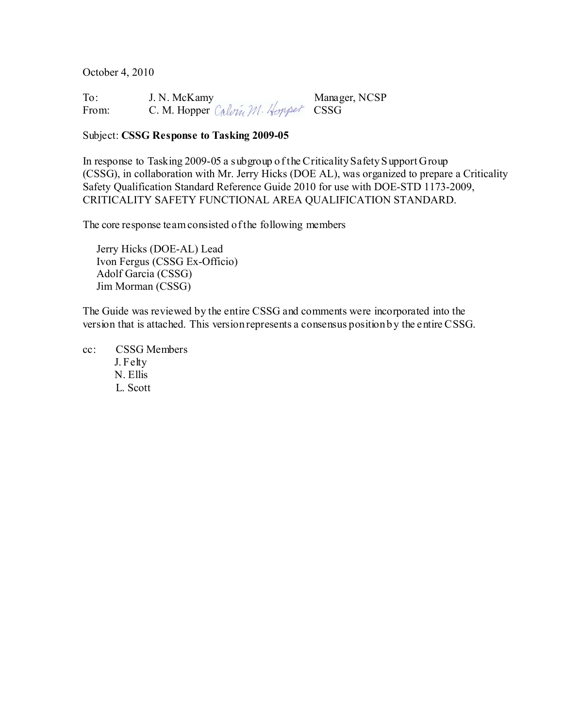October 4, 2010

| To:   | J. N. McKamy                       | Manager, NCSP |
|-------|------------------------------------|---------------|
| From: | C. M. Hopper Calvin M. Hoppet CSSG |               |

#### Subject: **CSSG Response to Tasking 2009-05**

In response to Tasking 2009-05 a subgroup of the Criticality Safety S upport Group (CSSG), in collaboration with Mr. Jerry Hicks (DOE AL), was organized to prepare a Criticality Safety Qualification Standard Reference Guide 2010 for use with DOE-STD 1173-2009, CRITICALITY SAFETY FUNCTIONAL AREA QUALIFICATION STANDARD.

The core response team consisted of the following members

 Jerry Hicks (DOE-AL) Lead Ivon Fergus (CSSG Ex-Officio) Adolf Garcia (CSSG) Jim Morman (CSSG)

The Guide was reviewed by the entire CSSG and comments were incorporated into the version that is attached. This version represents a consensus position by the entire CSSG.

cc: CSSG Members J. Felty N. Ellis L. Scott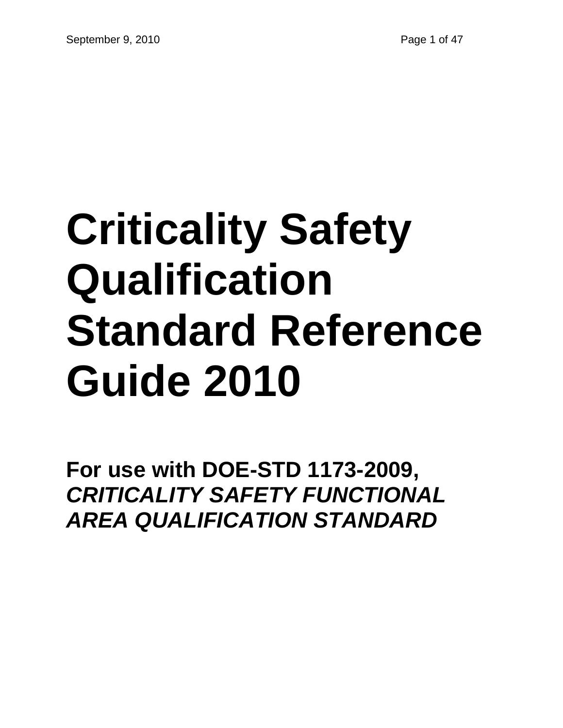# **Criticality Safety Qualification Standard Reference Guide 2010**

**For use with DOE-STD 1173-2009,**  *CRITICALITY SAFETY FUNCTIONAL AREA QUALIFICATION STANDARD*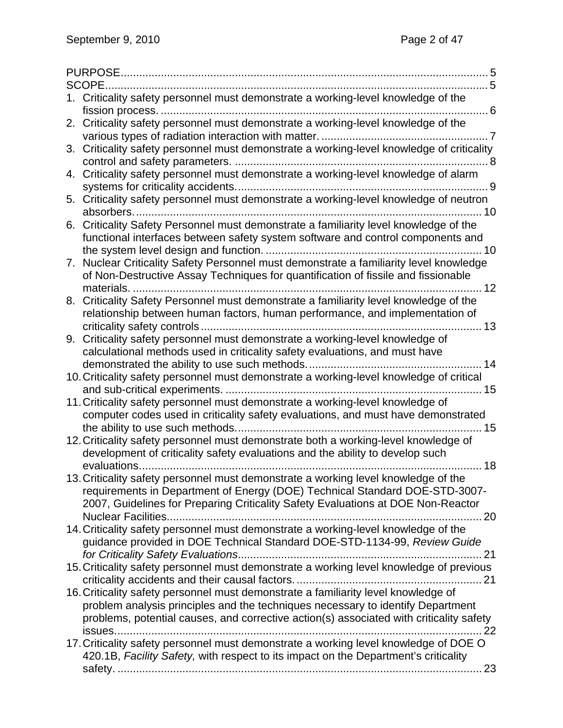|    | 1. Criticality safety personnel must demonstrate a working-level knowledge of the<br>. 6                                                                              |
|----|-----------------------------------------------------------------------------------------------------------------------------------------------------------------------|
|    | 2. Criticality safety personnel must demonstrate a working-level knowledge of the                                                                                     |
|    |                                                                                                                                                                       |
|    | 3. Criticality safety personnel must demonstrate a working-level knowledge of criticality                                                                             |
|    |                                                                                                                                                                       |
|    | 4. Criticality safety personnel must demonstrate a working-level knowledge of alarm                                                                                   |
|    | 5. Criticality safety personnel must demonstrate a working-level knowledge of neutron                                                                                 |
|    | absorbers.<br>10                                                                                                                                                      |
|    | 6. Criticality Safety Personnel must demonstrate a familiarity level knowledge of the                                                                                 |
|    | functional interfaces between safety system software and control components and                                                                                       |
|    | Nuclear Criticality Safety Personnel must demonstrate a familiarity level knowledge                                                                                   |
| 7. | of Non-Destructive Assay Techniques for quantification of fissile and fissionable                                                                                     |
|    | 12<br>materials                                                                                                                                                       |
| 8. | Criticality Safety Personnel must demonstrate a familiarity level knowledge of the                                                                                    |
|    | relationship between human factors, human performance, and implementation of                                                                                          |
|    | . 13                                                                                                                                                                  |
|    | 9. Criticality safety personnel must demonstrate a working-level knowledge of                                                                                         |
|    | calculational methods used in criticality safety evaluations, and must have                                                                                           |
|    | 14                                                                                                                                                                    |
|    | 10. Criticality safety personnel must demonstrate a working-level knowledge of critical                                                                               |
|    | 15                                                                                                                                                                    |
|    | 11. Criticality safety personnel must demonstrate a working-level knowledge of                                                                                        |
|    | computer codes used in criticality safety evaluations, and must have demonstrated<br>15                                                                               |
|    | 12. Criticality safety personnel must demonstrate both a working-level knowledge of                                                                                   |
|    | development of criticality safety evaluations and the ability to develop such                                                                                         |
|    | 18                                                                                                                                                                    |
|    | 13. Criticality safety personnel must demonstrate a working level knowledge of the                                                                                    |
|    | requirements in Department of Energy (DOE) Technical Standard DOE-STD-3007-                                                                                           |
|    | 2007, Guidelines for Preparing Criticality Safety Evaluations at DOE Non-Reactor                                                                                      |
|    |                                                                                                                                                                       |
|    | 14. Criticality safety personnel must demonstrate a working-level knowledge of the                                                                                    |
|    | guidance provided in DOE Technical Standard DOE-STD-1134-99, Review Guide                                                                                             |
|    |                                                                                                                                                                       |
|    | 15. Criticality safety personnel must demonstrate a working level knowledge of previous                                                                               |
|    |                                                                                                                                                                       |
|    | 16. Criticality safety personnel must demonstrate a familiarity level knowledge of<br>problem analysis principles and the techniques necessary to identify Department |
|    | problems, potential causes, and corrective action(s) associated with criticality safety                                                                               |
|    |                                                                                                                                                                       |
|    | 17. Criticality safety personnel must demonstrate a working level knowledge of DOE O                                                                                  |
|    | 420.1B, Facility Safety, with respect to its impact on the Department's criticality                                                                                   |
|    |                                                                                                                                                                       |
|    |                                                                                                                                                                       |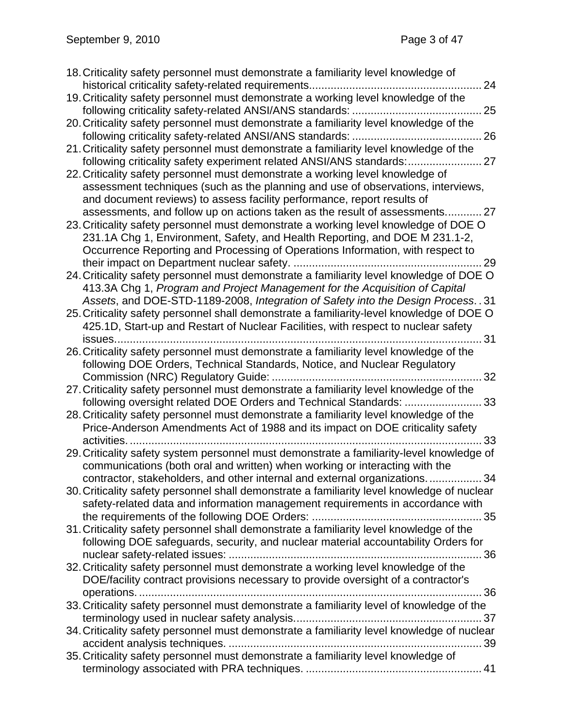| 18. Criticality safety personnel must demonstrate a familiarity level knowledge of          |
|---------------------------------------------------------------------------------------------|
| 24                                                                                          |
| 19. Criticality safety personnel must demonstrate a working level knowledge of the          |
| . 25                                                                                        |
| 20. Criticality safety personnel must demonstrate a familiarity level knowledge of the      |
|                                                                                             |
| 21. Criticality safety personnel must demonstrate a familiarity level knowledge of the      |
| following criticality safety experiment related ANSI/ANS standards:                         |
| 22. Criticality safety personnel must demonstrate a working level knowledge of              |
| assessment techniques (such as the planning and use of observations, interviews,            |
| and document reviews) to assess facility performance, report results of                     |
| assessments, and follow up on actions taken as the result of assessments 27                 |
| 23. Criticality safety personnel must demonstrate a working level knowledge of DOE O        |
| 231.1A Chg 1, Environment, Safety, and Health Reporting, and DOE M 231.1-2,                 |
| Occurrence Reporting and Processing of Operations Information, with respect to              |
|                                                                                             |
| 24. Criticality safety personnel must demonstrate a familiarity level knowledge of DOE O    |
| 413.3A Chg 1, Program and Project Management for the Acquisition of Capital                 |
| Assets, and DOE-STD-1189-2008, Integration of Safety into the Design Process. . 31          |
| 25. Criticality safety personnel shall demonstrate a familiarity-level knowledge of DOE O   |
| 425.1D, Start-up and Restart of Nuclear Facilities, with respect to nuclear safety          |
| 31                                                                                          |
| 26. Criticality safety personnel must demonstrate a familiarity level knowledge of the      |
| following DOE Orders, Technical Standards, Notice, and Nuclear Regulatory                   |
| 32                                                                                          |
| 27. Criticality safety personnel must demonstrate a familiarity level knowledge of the      |
| following oversight related DOE Orders and Technical Standards:<br>33                       |
| 28. Criticality safety personnel must demonstrate a familiarity level knowledge of the      |
| Price-Anderson Amendments Act of 1988 and its impact on DOE criticality safety              |
| activities.<br>33                                                                           |
| 29. Criticality safety system personnel must demonstrate a familiarity-level knowledge of   |
| communications (both oral and written) when working or interacting with the                 |
| contractor, stakeholders, and other internal and external organizations<br>.34              |
| 30. Criticality safety personnel shall demonstrate a familiarity level knowledge of nuclear |
| safety-related data and information management requirements in accordance with              |
|                                                                                             |
| 31. Criticality safety personnel shall demonstrate a familiarity level knowledge of the     |
| following DOE safeguards, security, and nuclear material accountability Orders for          |
| 32. Criticality safety personnel must demonstrate a working level knowledge of the          |
| DOE/facility contract provisions necessary to provide oversight of a contractor's           |
| 36                                                                                          |
| 33. Criticality safety personnel must demonstrate a familiarity level of knowledge of the   |
|                                                                                             |
| 34. Criticality safety personnel must demonstrate a familiarity level knowledge of nuclear  |
|                                                                                             |
| 35. Criticality safety personnel must demonstrate a familiarity level knowledge of          |
|                                                                                             |
|                                                                                             |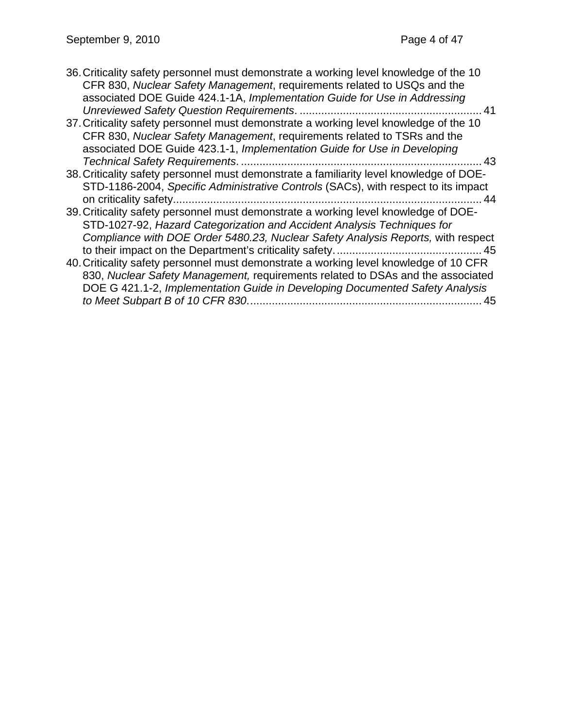| 36. Criticality safety personnel must demonstrate a working level knowledge of the 10<br>CFR 830, Nuclear Safety Management, requirements related to USQs and the |
|-------------------------------------------------------------------------------------------------------------------------------------------------------------------|
| associated DOE Guide 424.1-1A, Implementation Guide for Use in Addressing                                                                                         |
|                                                                                                                                                                   |
| 37. Criticality safety personnel must demonstrate a working level knowledge of the 10                                                                             |
| CFR 830, Nuclear Safety Management, requirements related to TSRs and the                                                                                          |
| associated DOE Guide 423.1-1, Implementation Guide for Use in Developing                                                                                          |
| . 43                                                                                                                                                              |
| 38. Criticality safety personnel must demonstrate a familiarity level knowledge of DOE-                                                                           |
| STD-1186-2004, Specific Administrative Controls (SACs), with respect to its impact                                                                                |
| 44                                                                                                                                                                |
| 39. Criticality safety personnel must demonstrate a working level knowledge of DOE-                                                                               |
| STD-1027-92, Hazard Categorization and Accident Analysis Techniques for                                                                                           |
| Compliance with DOE Order 5480.23, Nuclear Safety Analysis Reports, with respect                                                                                  |
|                                                                                                                                                                   |
| 40. Criticality safety personnel must demonstrate a working level knowledge of 10 CFR                                                                             |
| 830, Nuclear Safety Management, requirements related to DSAs and the associated                                                                                   |
| DOE G 421.1-2, Implementation Guide in Developing Documented Safety Analysis                                                                                      |
| 45                                                                                                                                                                |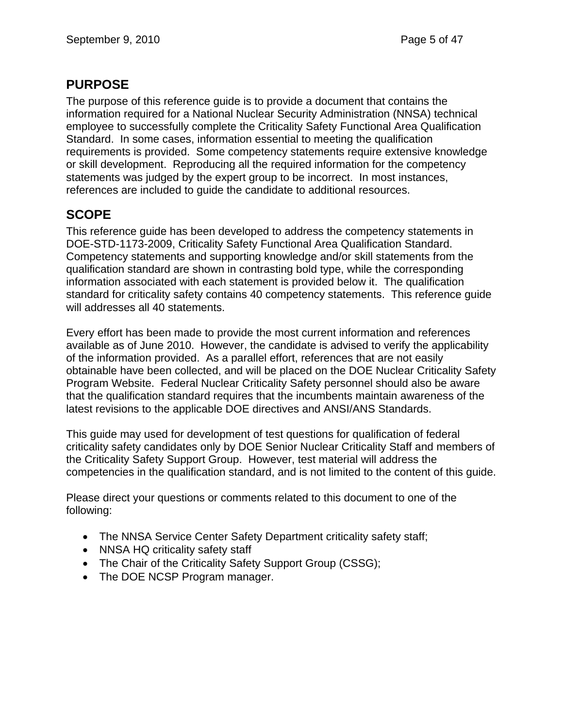## **PURPOSE**

The purpose of this reference guide is to provide a document that contains the information required for a National Nuclear Security Administration (NNSA) technical employee to successfully complete the Criticality Safety Functional Area Qualification Standard. In some cases, information essential to meeting the qualification requirements is provided. Some competency statements require extensive knowledge or skill development. Reproducing all the required information for the competency statements was judged by the expert group to be incorrect. In most instances, references are included to guide the candidate to additional resources.

# **SCOPE**

This reference guide has been developed to address the competency statements in DOE-STD-1173-2009, Criticality Safety Functional Area Qualification Standard. Competency statements and supporting knowledge and/or skill statements from the qualification standard are shown in contrasting bold type, while the corresponding information associated with each statement is provided below it. The qualification standard for criticality safety contains 40 competency statements. This reference guide will addresses all 40 statements.

Every effort has been made to provide the most current information and references available as of June 2010. However, the candidate is advised to verify the applicability of the information provided. As a parallel effort, references that are not easily obtainable have been collected, and will be placed on the DOE Nuclear Criticality Safety Program Website. Federal Nuclear Criticality Safety personnel should also be aware that the qualification standard requires that the incumbents maintain awareness of the latest revisions to the applicable DOE directives and ANSI/ANS Standards.

This guide may used for development of test questions for qualification of federal criticality safety candidates only by DOE Senior Nuclear Criticality Staff and members of the Criticality Safety Support Group. However, test material will address the competencies in the qualification standard, and is not limited to the content of this guide.

Please direct your questions or comments related to this document to one of the following:

- The NNSA Service Center Safety Department criticality safety staff;
- NNSA HQ criticality safety staff
- The Chair of the Criticality Safety Support Group (CSSG);
- The DOE NCSP Program manager.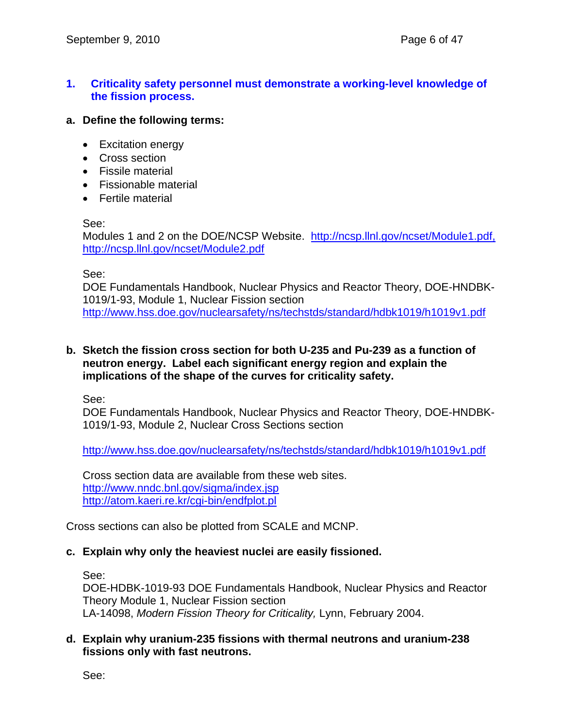## **1. Criticality safety personnel must demonstrate a working-level knowledge of the fission process.**

#### **a. Define the following terms:**

- Excitation energy
- Cross section
- Fissile material
- Fissionable material
- Fertile material

#### See:

Modules 1 and 2 on the DOE/NCSP Website. http://ncsp.llnl.gov/ncset/Module1.pdf, http://ncsp.llnl.gov/ncset/Module2.pdf

#### See:

DOE Fundamentals Handbook, Nuclear Physics and Reactor Theory, DOE-HNDBK-1019/1-93, Module 1, Nuclear Fission section http://www.hss.doe.gov/nuclearsafety/ns/techstds/standard/hdbk1019/h1019v1.pdf

#### **b. Sketch the fission cross section for both U-235 and Pu-239 as a function of neutron energy. Label each significant energy region and explain the implications of the shape of the curves for criticality safety.**

See:

DOE Fundamentals Handbook, Nuclear Physics and Reactor Theory, DOE-HNDBK-1019/1-93, Module 2, Nuclear Cross Sections section

http://www.hss.doe.gov/nuclearsafety/ns/techstds/standard/hdbk1019/h1019v1.pdf

Cross section data are available from these web sites. http://www.nndc.bnl.gov/sigma/index.jsp http://atom.kaeri.re.kr/cgi-bin/endfplot.pl

Cross sections can also be plotted from SCALE and MCNP.

#### **c. Explain why only the heaviest nuclei are easily fissioned.**

See:

DOE-HDBK-1019-93 DOE Fundamentals Handbook, Nuclear Physics and Reactor Theory Module 1, Nuclear Fission section LA-14098, *Modern Fission Theory for Criticality,* Lynn, February 2004.

## **d. Explain why uranium-235 fissions with thermal neutrons and uranium-238 fissions only with fast neutrons.**

See: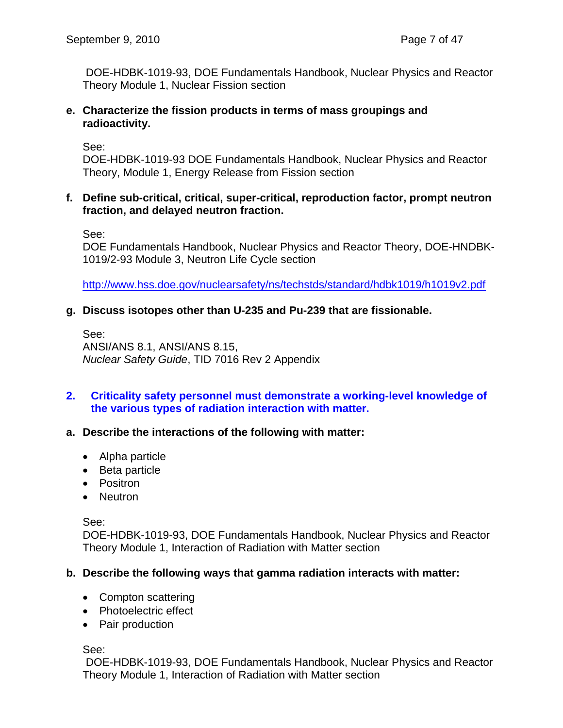DOE-HDBK-1019-93, DOE Fundamentals Handbook, Nuclear Physics and Reactor Theory Module 1, Nuclear Fission section

#### **e. Characterize the fission products in terms of mass groupings and radioactivity.**

See:

DOE-HDBK-1019-93 DOE Fundamentals Handbook, Nuclear Physics and Reactor Theory, Module 1, Energy Release from Fission section

## **f. Define sub-critical, critical, super-critical, reproduction factor, prompt neutron fraction, and delayed neutron fraction.**

See:

DOE Fundamentals Handbook, Nuclear Physics and Reactor Theory, DOE-HNDBK-1019/2-93 Module 3, Neutron Life Cycle section

http://www.hss.doe.gov/nuclearsafety/ns/techstds/standard/hdbk1019/h1019v2.pdf

## **g. Discuss isotopes other than U-235 and Pu-239 that are fissionable.**

See: ANSI/ANS 8.1, ANSI/ANS 8.15, *Nuclear Safety Guide*, TID 7016 Rev 2 Appendix

## **2. Criticality safety personnel must demonstrate a working-level knowledge of the various types of radiation interaction with matter.**

## **a. Describe the interactions of the following with matter:**

- Alpha particle
- Beta particle
- Positron
- Neutron

See:

DOE-HDBK-1019-93, DOE Fundamentals Handbook, Nuclear Physics and Reactor Theory Module 1, Interaction of Radiation with Matter section

## **b. Describe the following ways that gamma radiation interacts with matter:**

- Compton scattering
- Photoelectric effect
- Pair production

See:

 DOE-HDBK-1019-93, DOE Fundamentals Handbook, Nuclear Physics and Reactor Theory Module 1, Interaction of Radiation with Matter section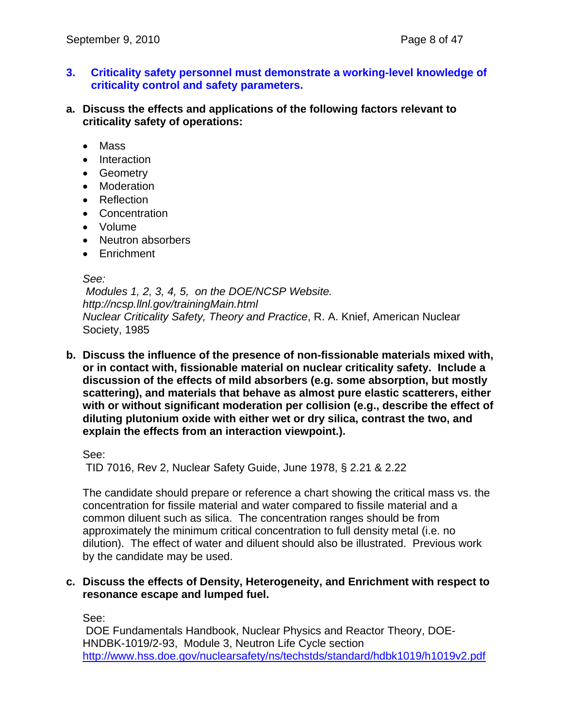- **3. Criticality safety personnel must demonstrate a working-level knowledge of criticality control and safety parameters.**
- **a. Discuss the effects and applications of the following factors relevant to criticality safety of operations:** 
	- Mass
	- Interaction
	- Geometry
	- Moderation
	- Reflection
	- Concentration
	- Volume
	- Neutron absorbers
	- Enrichment

#### *See:*

 *Modules 1, 2, 3, 4, 5, on the DOE/NCSP Website. http://ncsp.llnl.gov/trainingMain.html Nuclear Criticality Safety, Theory and Practice*, R. A. Knief, American Nuclear Society, 1985

**b. Discuss the influence of the presence of non-fissionable materials mixed with, or in contact with, fissionable material on nuclear criticality safety. Include a discussion of the effects of mild absorbers (e.g. some absorption, but mostly scattering), and materials that behave as almost pure elastic scatterers, either with or without significant moderation per collision (e.g., describe the effect of diluting plutonium oxide with either wet or dry silica, contrast the two, and explain the effects from an interaction viewpoint.).** 

See:

TID 7016, Rev 2, Nuclear Safety Guide, June 1978, § 2.21 & 2.22

The candidate should prepare or reference a chart showing the critical mass vs. the concentration for fissile material and water compared to fissile material and a common diluent such as silica. The concentration ranges should be from approximately the minimum critical concentration to full density metal (i.e. no dilution). The effect of water and diluent should also be illustrated. Previous work by the candidate may be used.

#### **c. Discuss the effects of Density, Heterogeneity, and Enrichment with respect to resonance escape and lumped fuel.**

See:

 DOE Fundamentals Handbook, Nuclear Physics and Reactor Theory, DOE-HNDBK-1019/2-93, Module 3, Neutron Life Cycle section http://www.hss.doe.gov/nuclearsafety/ns/techstds/standard/hdbk1019/h1019v2.pdf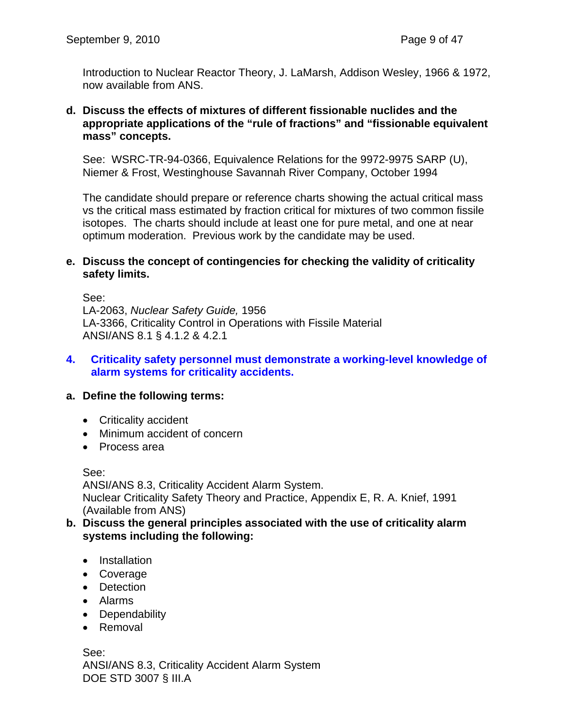Introduction to Nuclear Reactor Theory, J. LaMarsh, Addison Wesley, 1966 & 1972, now available from ANS.

#### **d. Discuss the effects of mixtures of different fissionable nuclides and the appropriate applications of the "rule of fractions" and "fissionable equivalent mass" concepts.**

See: WSRC-TR-94-0366, Equivalence Relations for the 9972-9975 SARP (U), Niemer & Frost, Westinghouse Savannah River Company, October 1994

The candidate should prepare or reference charts showing the actual critical mass vs the critical mass estimated by fraction critical for mixtures of two common fissile isotopes. The charts should include at least one for pure metal, and one at near optimum moderation. Previous work by the candidate may be used.

#### **e. Discuss the concept of contingencies for checking the validity of criticality safety limits.**

See:

LA-2063, *Nuclear Safety Guide,* 1956 LA-3366, Criticality Control in Operations with Fissile Material ANSI/ANS 8.1 § 4.1.2 & 4.2.1

## **4. Criticality safety personnel must demonstrate a working-level knowledge of alarm systems for criticality accidents.**

## **a. Define the following terms:**

- Criticality accident
- Minimum accident of concern
- Process area

See:

ANSI/ANS 8.3, Criticality Accident Alarm System. Nuclear Criticality Safety Theory and Practice, Appendix E, R. A. Knief, 1991 (Available from ANS)

- **b. Discuss the general principles associated with the use of criticality alarm systems including the following:** 
	- Installation
	- Coverage
	- Detection
	- Alarms
	- Dependability
	- Removal

See: ANSI/ANS 8.3, Criticality Accident Alarm System DOE STD 3007 § III.A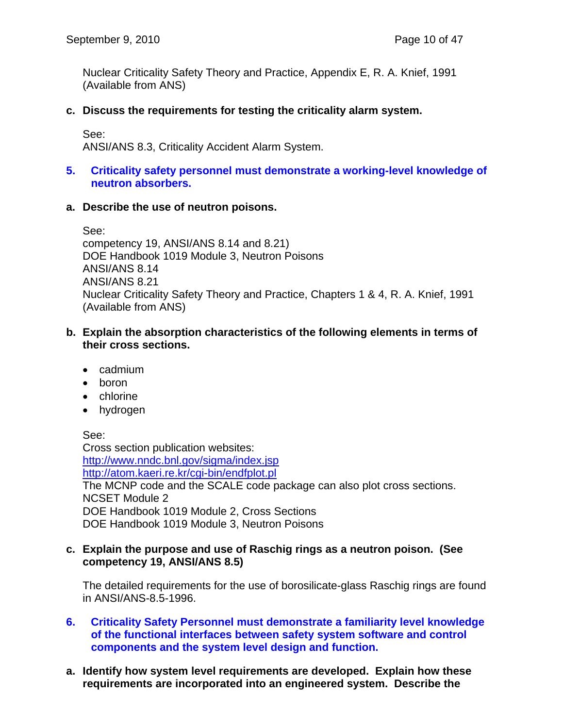Nuclear Criticality Safety Theory and Practice, Appendix E, R. A. Knief, 1991 (Available from ANS)

## **c. Discuss the requirements for testing the criticality alarm system.**

See:

ANSI/ANS 8.3, Criticality Accident Alarm System.

## **5. Criticality safety personnel must demonstrate a working-level knowledge of neutron absorbers.**

#### **a. Describe the use of neutron poisons.**

See: competency 19, ANSI/ANS 8.14 and 8.21) DOE Handbook 1019 Module 3, Neutron Poisons ANSI/ANS 8.14 ANSI/ANS 8.21 Nuclear Criticality Safety Theory and Practice, Chapters 1 & 4, R. A. Knief, 1991 (Available from ANS)

#### **b. Explain the absorption characteristics of the following elements in terms of their cross sections.**

- cadmium
- boron
- chlorine
- hydrogen

See:

Cross section publication websites: http://www.nndc.bnl.gov/sigma/index.jsp http://atom.kaeri.re.kr/cgi-bin/endfplot.pl The MCNP code and the SCALE code package can also plot cross sections. NCSET Module 2 DOE Handbook 1019 Module 2, Cross Sections DOE Handbook 1019 Module 3, Neutron Poisons

#### **c. Explain the purpose and use of Raschig rings as a neutron poison. (See competency 19, ANSI/ANS 8.5)**

The detailed requirements for the use of borosilicate-glass Raschig rings are found in ANSI/ANS-8.5-1996.

- **6. Criticality Safety Personnel must demonstrate a familiarity level knowledge of the functional interfaces between safety system software and control components and the system level design and function.**
- **a. Identify how system level requirements are developed. Explain how these requirements are incorporated into an engineered system. Describe the**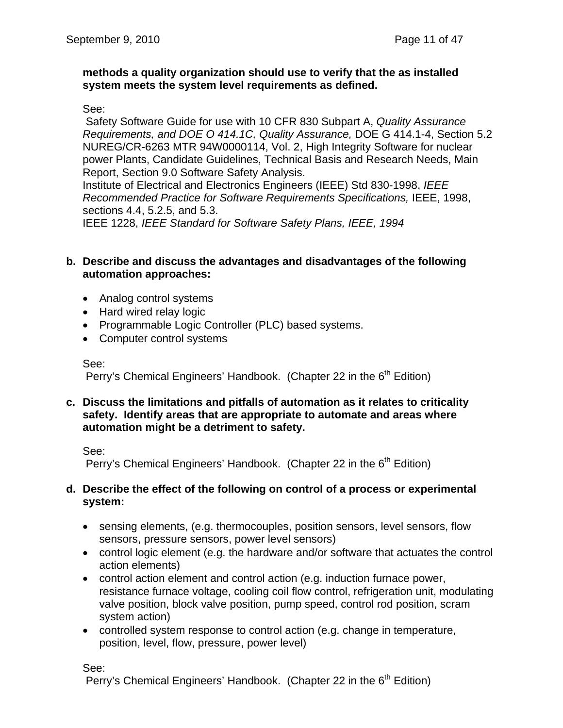#### **methods a quality organization should use to verify that the as installed system meets the system level requirements as defined.**

#### See:

 Safety Software Guide for use with 10 CFR 830 Subpart A, *Quality Assurance Requirements, and DOE O 414.1C, Quality Assurance,* DOE G 414.1-4, Section 5.2 NUREG/CR-6263 MTR 94W0000114, Vol. 2, High Integrity Software for nuclear power Plants, Candidate Guidelines, Technical Basis and Research Needs, Main Report, Section 9.0 Software Safety Analysis.

Institute of Electrical and Electronics Engineers (IEEE) Std 830-1998, *IEEE Recommended Practice for Software Requirements Specifications,* IEEE, 1998, sections 4.4, 5.2.5, and 5.3.

IEEE 1228, *IEEE Standard for Software Safety Plans, IEEE, 1994*

#### **b. Describe and discuss the advantages and disadvantages of the following automation approaches:**

- Analog control systems
- Hard wired relay logic
- Programmable Logic Controller (PLC) based systems.
- Computer control systems

See:

Perry's Chemical Engineers' Handbook. (Chapter 22 in the  $6<sup>th</sup>$  Edition)

**c. Discuss the limitations and pitfalls of automation as it relates to criticality safety. Identify areas that are appropriate to automate and areas where automation might be a detriment to safety.** 

See:

Perry's Chemical Engineers' Handbook. (Chapter 22 in the  $6<sup>th</sup>$  Edition)

#### **d. Describe the effect of the following on control of a process or experimental system:**

- sensing elements, (e.g. thermocouples, position sensors, level sensors, flow sensors, pressure sensors, power level sensors)
- control logic element (e.g. the hardware and/or software that actuates the control action elements)
- control action element and control action (e.g. induction furnace power, resistance furnace voltage, cooling coil flow control, refrigeration unit, modulating valve position, block valve position, pump speed, control rod position, scram system action)
- controlled system response to control action (e.g. change in temperature, position, level, flow, pressure, power level)

See:

Perry's Chemical Engineers' Handbook. (Chapter 22 in the  $6<sup>th</sup>$  Edition)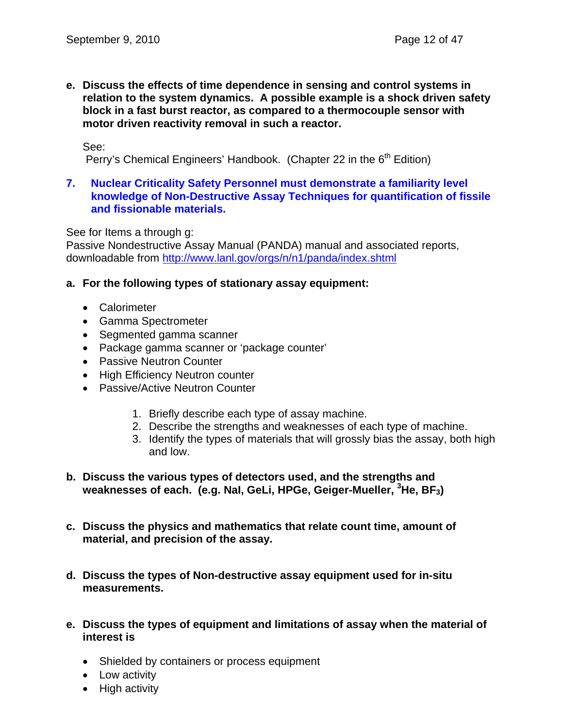**e. Discuss the effects of time dependence in sensing and control systems in relation to the system dynamics. A possible example is a shock driven safety block in a fast burst reactor, as compared to a thermocouple sensor with motor driven reactivity removal in such a reactor.** 

See:

Perry's Chemical Engineers' Handbook. (Chapter 22 in the  $6<sup>th</sup>$  Edition)

#### **7. Nuclear Criticality Safety Personnel must demonstrate a familiarity level knowledge of Non-Destructive Assay Techniques for quantification of fissile and fissionable materials.**

See for Items a through g:

Passive Nondestructive Assay Manual (PANDA) manual and associated reports, downloadable from http://www.lanl.gov/orgs/n/n1/panda/index.shtml

#### **a. For the following types of stationary assay equipment:**

- Calorimeter
- Gamma Spectrometer
- Segmented gamma scanner
- Package gamma scanner or 'package counter'
- Passive Neutron Counter
- High Efficiency Neutron counter
- Passive/Active Neutron Counter
	- 1. Briefly describe each type of assay machine.
	- 2. Describe the strengths and weaknesses of each type of machine.
	- 3. Identify the types of materials that will grossly bias the assay, both high and low.
- **b. Discuss the various types of detectors used, and the strengths and weaknesses of each. (e.g. NaI, GeLi, HPGe, Geiger-Mueller, <sup>3</sup> He, BF3)**
- **c. Discuss the physics and mathematics that relate count time, amount of material, and precision of the assay.**
- **d. Discuss the types of Non-destructive assay equipment used for in-situ measurements.**
- **e. Discuss the types of equipment and limitations of assay when the material of interest is** 
	- Shielded by containers or process equipment
	- Low activity
	- High activity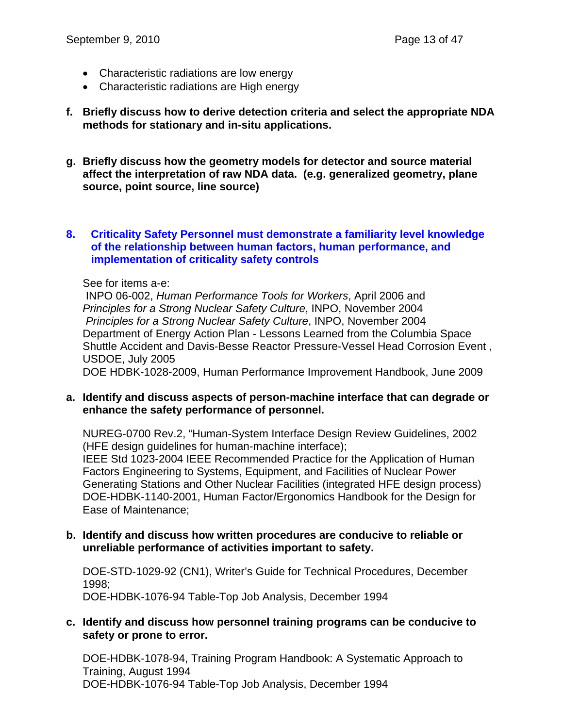- Characteristic radiations are low energy
- Characteristic radiations are High energy
- **f. Briefly discuss how to derive detection criteria and select the appropriate NDA methods for stationary and in-situ applications.**
- **g. Briefly discuss how the geometry models for detector and source material affect the interpretation of raw NDA data. (e.g. generalized geometry, plane source, point source, line source)**

#### **8. Criticality Safety Personnel must demonstrate a familiarity level knowledge of the relationship between human factors, human performance, and implementation of criticality safety controls**

#### See for items a-e:

 INPO 06-002, *Human Performance Tools for Workers*, April 2006 and *Principles for a Strong Nuclear Safety Culture*, INPO, November 2004 *Principles for a Strong Nuclear Safety Culture*, INPO, November 2004 Department of Energy Action Plan - Lessons Learned from the Columbia Space Shuttle Accident and Davis-Besse Reactor Pressure-Vessel Head Corrosion Event , USDOE, July 2005

DOE HDBK-1028-2009, Human Performance Improvement Handbook, June 2009

#### **a. Identify and discuss aspects of person-machine interface that can degrade or enhance the safety performance of personnel.**

NUREG-0700 Rev.2, "Human-System Interface Design Review Guidelines, 2002 (HFE design guidelines for human-machine interface); IEEE Std 1023-2004 IEEE Recommended Practice for the Application of Human Factors Engineering to Systems, Equipment, and Facilities of Nuclear Power Generating Stations and Other Nuclear Facilities (integrated HFE design process) DOE-HDBK-1140-2001, Human Factor/Ergonomics Handbook for the Design for Ease of Maintenance;

#### **b. Identify and discuss how written procedures are conducive to reliable or unreliable performance of activities important to safety.**

DOE-STD-1029-92 (CN1), Writer's Guide for Technical Procedures, December 1998; DOE-HDBK-1076-94 Table-Top Job Analysis, December 1994

#### **c. Identify and discuss how personnel training programs can be conducive to safety or prone to error.**

DOE-HDBK-1078-94, Training Program Handbook: A Systematic Approach to Training, August 1994 DOE-HDBK-1076-94 Table-Top Job Analysis, December 1994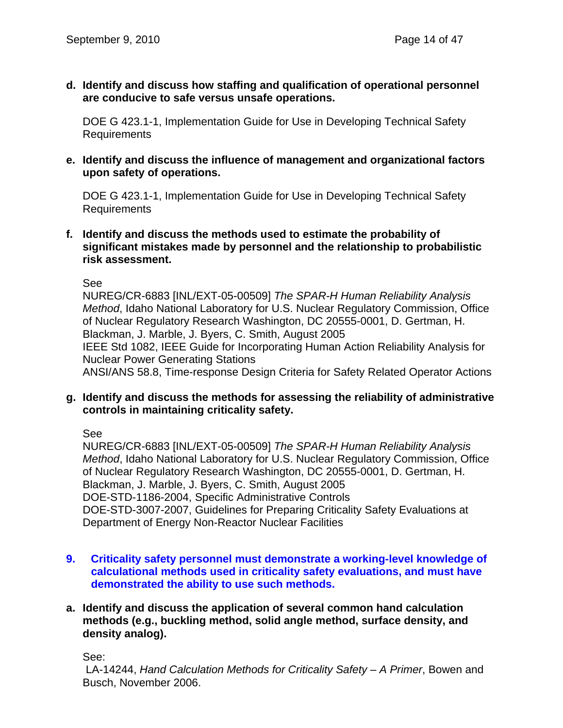**d. Identify and discuss how staffing and qualification of operational personnel are conducive to safe versus unsafe operations.** 

DOE G 423.1-1, Implementation Guide for Use in Developing Technical Safety Requirements

**e. Identify and discuss the influence of management and organizational factors upon safety of operations.** 

DOE G 423.1-1, Implementation Guide for Use in Developing Technical Safety Requirements

**f. Identify and discuss the methods used to estimate the probability of significant mistakes made by personnel and the relationship to probabilistic risk assessment.** 

See

NUREG/CR-6883 [INL/EXT-05-00509] *The SPAR-H Human Reliability Analysis Method*, Idaho National Laboratory for U.S. Nuclear Regulatory Commission, Office of Nuclear Regulatory Research Washington, DC 20555-0001, D. Gertman, H. Blackman, J. Marble, J. Byers, C. Smith, August 2005 IEEE Std 1082, IEEE Guide for Incorporating Human Action Reliability Analysis for Nuclear Power Generating Stations ANSI/ANS 58.8, Time-response Design Criteria for Safety Related Operator Actions

**g. Identify and discuss the methods for assessing the reliability of administrative controls in maintaining criticality safety.** 

See

NUREG/CR-6883 [INL/EXT-05-00509] *The SPAR-H Human Reliability Analysis Method*, Idaho National Laboratory for U.S. Nuclear Regulatory Commission, Office of Nuclear Regulatory Research Washington, DC 20555-0001, D. Gertman, H. Blackman, J. Marble, J. Byers, C. Smith, August 2005 DOE-STD-1186-2004, Specific Administrative Controls DOE-STD-3007-2007, Guidelines for Preparing Criticality Safety Evaluations at Department of Energy Non-Reactor Nuclear Facilities

- **9. Criticality safety personnel must demonstrate a working-level knowledge of calculational methods used in criticality safety evaluations, and must have demonstrated the ability to use such methods.**
- **a. Identify and discuss the application of several common hand calculation methods (e.g., buckling method, solid angle method, surface density, and density analog).**

See:

 LA-14244, *Hand Calculation Methods for Criticality Safety – A Primer*, Bowen and Busch, November 2006.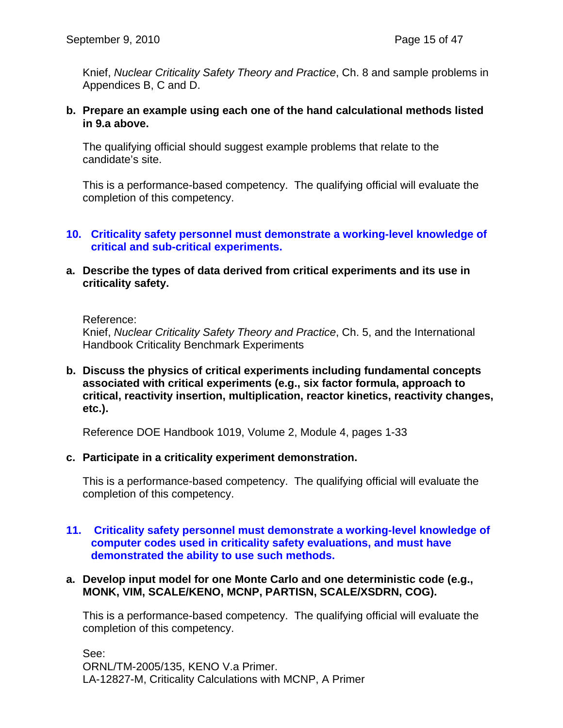Knief, *Nuclear Criticality Safety Theory and Practice*, Ch. 8 and sample problems in Appendices B, C and D.

**b. Prepare an example using each one of the hand calculational methods listed in 9.a above.** 

The qualifying official should suggest example problems that relate to the candidate's site.

This is a performance-based competency. The qualifying official will evaluate the completion of this competency.

#### **10. Criticality safety personnel must demonstrate a working-level knowledge of critical and sub-critical experiments.**

**a. Describe the types of data derived from critical experiments and its use in criticality safety.** 

#### Reference:

Knief, *Nuclear Criticality Safety Theory and Practice*, Ch. 5, and the International Handbook Criticality Benchmark Experiments

**b. Discuss the physics of critical experiments including fundamental concepts associated with critical experiments (e.g., six factor formula, approach to critical, reactivity insertion, multiplication, reactor kinetics, reactivity changes, etc.).** 

Reference DOE Handbook 1019, Volume 2, Module 4, pages 1-33

#### **c. Participate in a criticality experiment demonstration.**

This is a performance-based competency. The qualifying official will evaluate the completion of this competency.

#### **11. Criticality safety personnel must demonstrate a working-level knowledge of computer codes used in criticality safety evaluations, and must have demonstrated the ability to use such methods.**

#### **a. Develop input model for one Monte Carlo and one deterministic code (e.g., MONK, VIM, SCALE/KENO, MCNP, PARTISN, SCALE/XSDRN, COG).**

This is a performance-based competency. The qualifying official will evaluate the completion of this competency.

See: ORNL/TM-2005/135, KENO V.a Primer. LA-12827-M, Criticality Calculations with MCNP, A Primer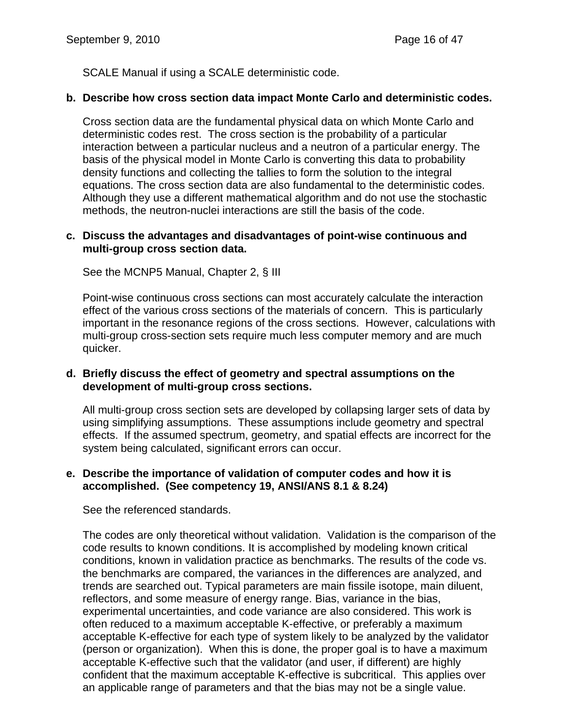SCALE Manual if using a SCALE deterministic code.

## **b. Describe how cross section data impact Monte Carlo and deterministic codes.**

Cross section data are the fundamental physical data on which Monte Carlo and deterministic codes rest. The cross section is the probability of a particular interaction between a particular nucleus and a neutron of a particular energy. The basis of the physical model in Monte Carlo is converting this data to probability density functions and collecting the tallies to form the solution to the integral equations. The cross section data are also fundamental to the deterministic codes. Although they use a different mathematical algorithm and do not use the stochastic methods, the neutron-nuclei interactions are still the basis of the code.

#### **c. Discuss the advantages and disadvantages of point-wise continuous and multi-group cross section data.**

See the MCNP5 Manual, Chapter 2, § III

Point-wise continuous cross sections can most accurately calculate the interaction effect of the various cross sections of the materials of concern. This is particularly important in the resonance regions of the cross sections. However, calculations with multi-group cross-section sets require much less computer memory and are much quicker.

## **d. Briefly discuss the effect of geometry and spectral assumptions on the development of multi-group cross sections.**

All multi-group cross section sets are developed by collapsing larger sets of data by using simplifying assumptions. These assumptions include geometry and spectral effects. If the assumed spectrum, geometry, and spatial effects are incorrect for the system being calculated, significant errors can occur.

## **e. Describe the importance of validation of computer codes and how it is accomplished. (See competency 19, ANSI/ANS 8.1 & 8.24)**

See the referenced standards.

The codes are only theoretical without validation. Validation is the comparison of the code results to known conditions. It is accomplished by modeling known critical conditions, known in validation practice as benchmarks. The results of the code vs. the benchmarks are compared, the variances in the differences are analyzed, and trends are searched out. Typical parameters are main fissile isotope, main diluent, reflectors, and some measure of energy range. Bias, variance in the bias, experimental uncertainties, and code variance are also considered. This work is often reduced to a maximum acceptable K-effective, or preferably a maximum acceptable K-effective for each type of system likely to be analyzed by the validator (person or organization). When this is done, the proper goal is to have a maximum acceptable K-effective such that the validator (and user, if different) are highly confident that the maximum acceptable K-effective is subcritical. This applies over an applicable range of parameters and that the bias may not be a single value.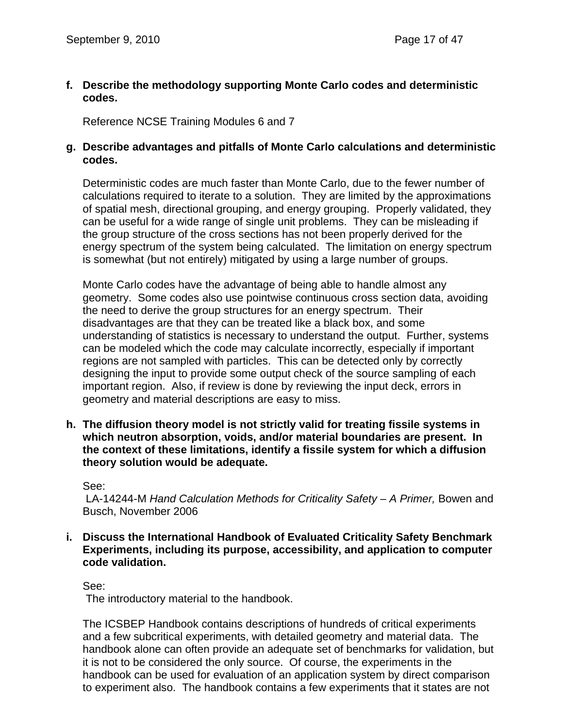**f. Describe the methodology supporting Monte Carlo codes and deterministic codes.** 

Reference NCSE Training Modules 6 and 7

#### **g. Describe advantages and pitfalls of Monte Carlo calculations and deterministic codes.**

Deterministic codes are much faster than Monte Carlo, due to the fewer number of calculations required to iterate to a solution. They are limited by the approximations of spatial mesh, directional grouping, and energy grouping. Properly validated, they can be useful for a wide range of single unit problems. They can be misleading if the group structure of the cross sections has not been properly derived for the energy spectrum of the system being calculated. The limitation on energy spectrum is somewhat (but not entirely) mitigated by using a large number of groups.

Monte Carlo codes have the advantage of being able to handle almost any geometry. Some codes also use pointwise continuous cross section data, avoiding the need to derive the group structures for an energy spectrum. Their disadvantages are that they can be treated like a black box, and some understanding of statistics is necessary to understand the output. Further, systems can be modeled which the code may calculate incorrectly, especially if important regions are not sampled with particles. This can be detected only by correctly designing the input to provide some output check of the source sampling of each important region. Also, if review is done by reviewing the input deck, errors in geometry and material descriptions are easy to miss.

**h. The diffusion theory model is not strictly valid for treating fissile systems in which neutron absorption, voids, and/or material boundaries are present. In the context of these limitations, identify a fissile system for which a diffusion theory solution would be adequate.** 

#### See:

LA-14244-M *Hand Calculation Methods for Criticality Safety – A Primer, Bowen and* Busch, November 2006

**i. Discuss the International Handbook of Evaluated Criticality Safety Benchmark Experiments, including its purpose, accessibility, and application to computer code validation.** 

#### See:

The introductory material to the handbook.

The ICSBEP Handbook contains descriptions of hundreds of critical experiments and a few subcritical experiments, with detailed geometry and material data. The handbook alone can often provide an adequate set of benchmarks for validation, but it is not to be considered the only source. Of course, the experiments in the handbook can be used for evaluation of an application system by direct comparison to experiment also. The handbook contains a few experiments that it states are not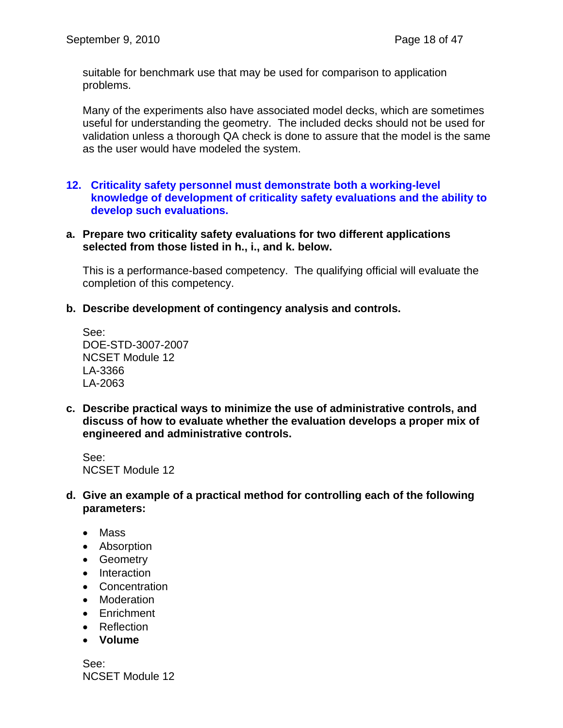suitable for benchmark use that may be used for comparison to application problems.

Many of the experiments also have associated model decks, which are sometimes useful for understanding the geometry. The included decks should not be used for validation unless a thorough QA check is done to assure that the model is the same as the user would have modeled the system.

**12. Criticality safety personnel must demonstrate both a working-level knowledge of development of criticality safety evaluations and the ability to develop such evaluations.** 

#### **a. Prepare two criticality safety evaluations for two different applications selected from those listed in h., i., and k. below.**

This is a performance-based competency. The qualifying official will evaluate the completion of this competency.

**b. Describe development of contingency analysis and controls.** 

See: DOE-STD-3007-2007 NCSET Module 12 LA-3366 LA-2063

**c. Describe practical ways to minimize the use of administrative controls, and discuss of how to evaluate whether the evaluation develops a proper mix of engineered and administrative controls.** 

See: NCSET Module 12

- **d. Give an example of a practical method for controlling each of the following parameters:** 
	- Mass
	- Absorption
	- Geometry
	- Interaction
	- Concentration
	- Moderation
	- Enrichment
	- Reflection
	- **Volume**

See: NCSET Module 12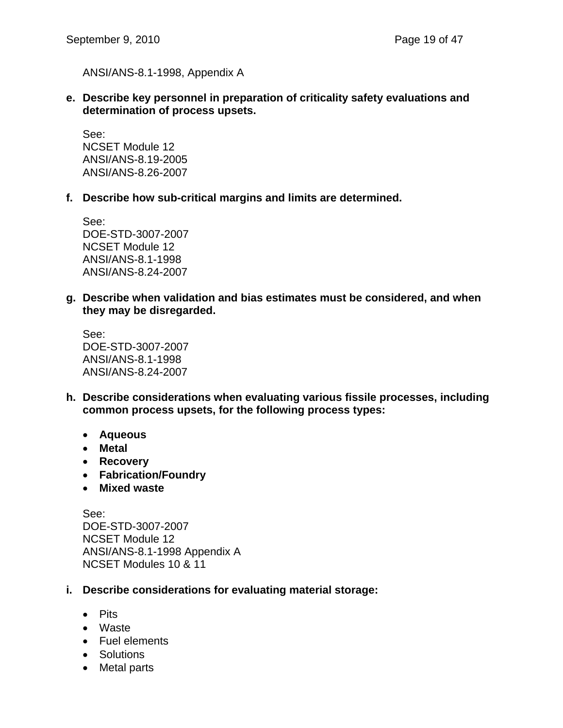ANSI/ANS-8.1-1998, Appendix A

**e. Describe key personnel in preparation of criticality safety evaluations and determination of process upsets.** 

See: NCSET Module 12 ANSI/ANS-8.19-2005 ANSI/ANS-8.26-2007

**f. Describe how sub-critical margins and limits are determined.** 

See: DOE-STD-3007-2007 NCSET Module 12 ANSI/ANS-8.1-1998 ANSI/ANS-8.24-2007

**g. Describe when validation and bias estimates must be considered, and when they may be disregarded.** 

See: DOE-STD-3007-2007 ANSI/ANS-8.1-1998 ANSI/ANS-8.24-2007

- **h. Describe considerations when evaluating various fissile processes, including common process upsets, for the following process types:** 
	- **Aqueous**
	- **Metal**
	- **Recovery**
	- **Fabrication/Foundry**
	- **Mixed waste**

See: DOE-STD-3007-2007 NCSET Module 12 ANSI/ANS-8.1-1998 Appendix A NCSET Modules 10 & 11

- **i. Describe considerations for evaluating material storage:** 
	- Pits
	- Waste
	- Fuel elements
	- Solutions
	- Metal parts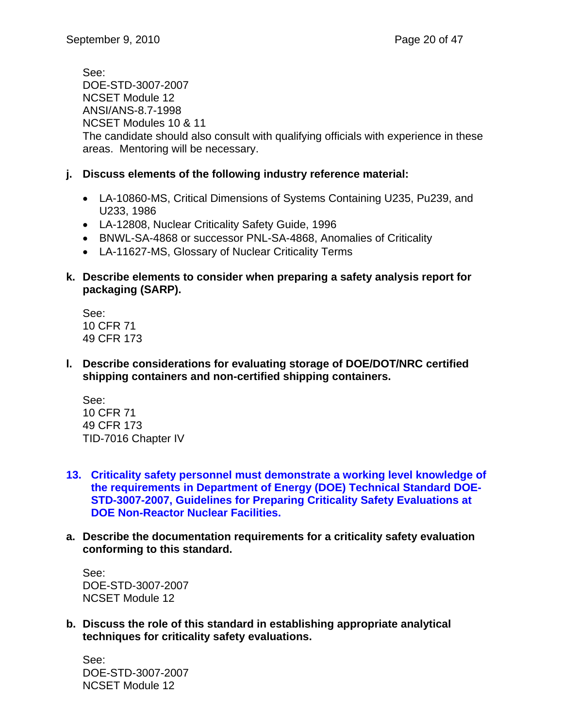See: DOE-STD-3007-2007 NCSET Module 12 ANSI/ANS-8.7-1998 NCSET Modules 10 & 11 The candidate should also consult with qualifying officials with experience in these areas. Mentoring will be necessary.

## **j. Discuss elements of the following industry reference material:**

- LA-10860-MS, Critical Dimensions of Systems Containing U235, Pu239, and U233, 1986
- LA-12808, Nuclear Criticality Safety Guide, 1996
- BNWL-SA-4868 or successor PNL-SA-4868, Anomalies of Criticality
- LA-11627-MS, Glossary of Nuclear Criticality Terms
- **k. Describe elements to consider when preparing a safety analysis report for packaging (SARP).**

See: 10 CFR 71 49 CFR 173

**l. Describe considerations for evaluating storage of DOE/DOT/NRC certified shipping containers and non-certified shipping containers.** 

See: 10 CFR 71 49 CFR 173 TID-7016 Chapter IV

- **13. Criticality safety personnel must demonstrate a working level knowledge of the requirements in Department of Energy (DOE) Technical Standard DOE-STD-3007-2007, Guidelines for Preparing Criticality Safety Evaluations at DOE Non-Reactor Nuclear Facilities.**
- **a. Describe the documentation requirements for a criticality safety evaluation conforming to this standard.**

See: DOE-STD-3007-2007 NCSET Module 12

**b. Discuss the role of this standard in establishing appropriate analytical techniques for criticality safety evaluations.** 

See: DOE-STD-3007-2007 NCSET Module 12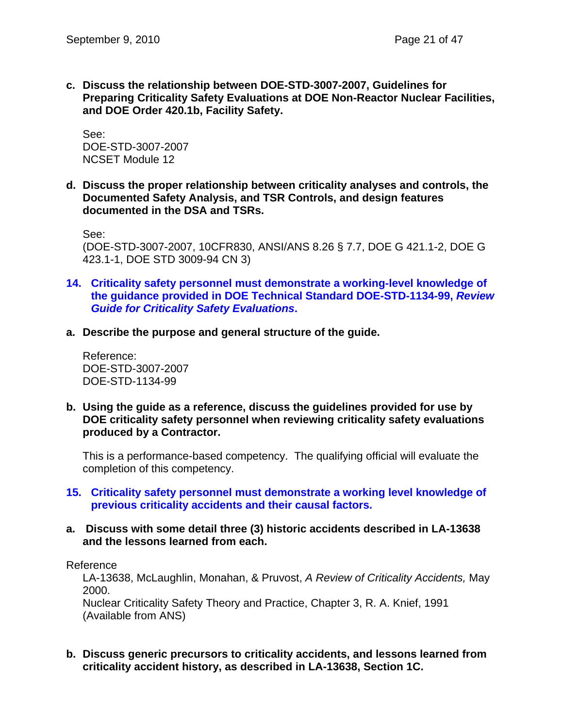**c. Discuss the relationship between DOE-STD-3007-2007, Guidelines for Preparing Criticality Safety Evaluations at DOE Non-Reactor Nuclear Facilities, and DOE Order 420.1b, Facility Safety.** 

See: DOE-STD-3007-2007 NCSET Module 12

**d. Discuss the proper relationship between criticality analyses and controls, the Documented Safety Analysis, and TSR Controls, and design features documented in the DSA and TSRs.** 

See:

(DOE-STD-3007-2007, 10CFR830, ANSI/ANS 8.26 § 7.7, DOE G 421.1-2, DOE G 423.1-1, DOE STD 3009-94 CN 3)

- **14. Criticality safety personnel must demonstrate a working-level knowledge of the guidance provided in DOE Technical Standard DOE-STD-1134-99,** *Review Guide for Criticality Safety Evaluations***.**
- **a. Describe the purpose and general structure of the guide.**

Reference: DOE-STD-3007-2007 DOE-STD-1134-99

**b. Using the guide as a reference, discuss the guidelines provided for use by DOE criticality safety personnel when reviewing criticality safety evaluations produced by a Contractor.** 

This is a performance-based competency. The qualifying official will evaluate the completion of this competency.

- **15. Criticality safety personnel must demonstrate a working level knowledge of previous criticality accidents and their causal factors.**
- **a. Discuss with some detail three (3) historic accidents described in LA-13638 and the lessons learned from each.**

Reference

LA-13638, McLaughlin, Monahan, & Pruvost, *A Review of Criticality Accidents,* May 2000.

Nuclear Criticality Safety Theory and Practice, Chapter 3, R. A. Knief, 1991 (Available from ANS)

**b. Discuss generic precursors to criticality accidents, and lessons learned from criticality accident history, as described in LA-13638, Section 1C.**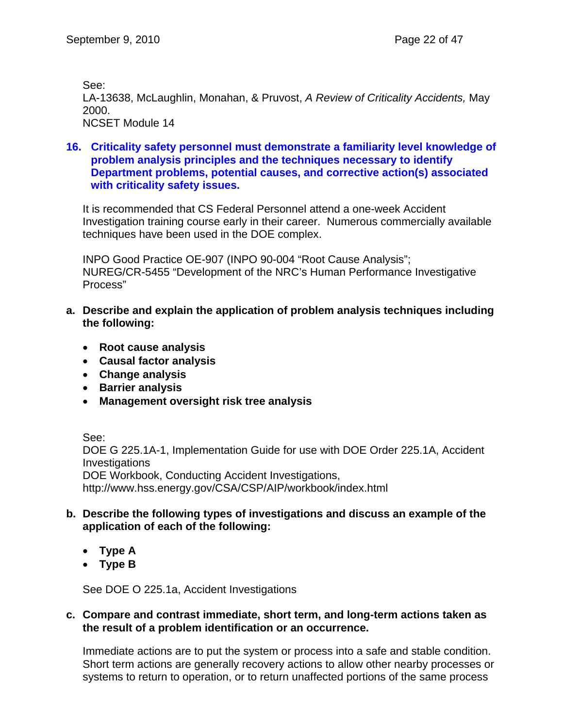See:

LA-13638, McLaughlin, Monahan, & Pruvost, *A Review of Criticality Accidents,* May 2000.

NCSET Module 14

## **16. Criticality safety personnel must demonstrate a familiarity level knowledge of problem analysis principles and the techniques necessary to identify Department problems, potential causes, and corrective action(s) associated with criticality safety issues.**

It is recommended that CS Federal Personnel attend a one-week Accident Investigation training course early in their career. Numerous commercially available techniques have been used in the DOE complex.

INPO Good Practice OE-907 (INPO 90-004 "Root Cause Analysis"; NUREG/CR-5455 "Development of the NRC's Human Performance Investigative Process"

- **a. Describe and explain the application of problem analysis techniques including the following:** 
	- **Root cause analysis**
	- **Causal factor analysis**
	- **Change analysis**
	- **Barrier analysis**
	- **Management oversight risk tree analysis**

See:

DOE G 225.1A-1, Implementation Guide for use with DOE Order 225.1A, Accident **Investigations** 

DOE Workbook, Conducting Accident Investigations,

http://www.hss.energy.gov/CSA/CSP/AIP/workbook/index.html

## **b. Describe the following types of investigations and discuss an example of the application of each of the following:**

- **Type A**
- **Type B**

See DOE O 225.1a, Accident Investigations

## **c. Compare and contrast immediate, short term, and long-term actions taken as the result of a problem identification or an occurrence.**

Immediate actions are to put the system or process into a safe and stable condition. Short term actions are generally recovery actions to allow other nearby processes or systems to return to operation, or to return unaffected portions of the same process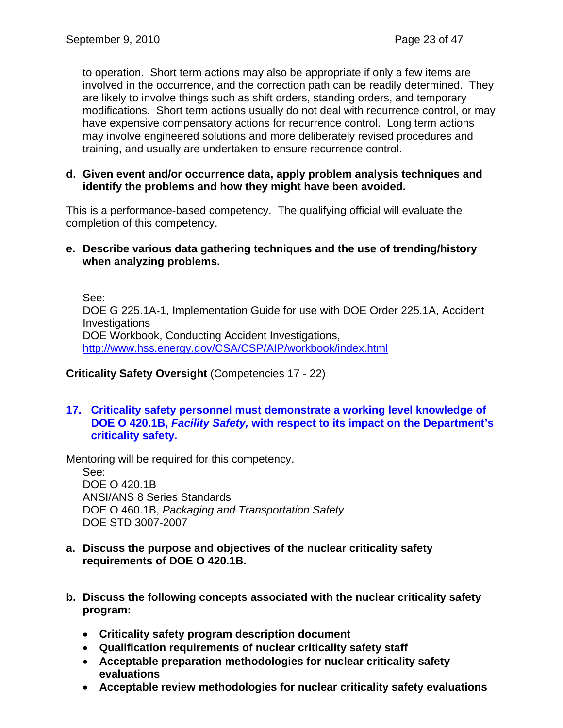to operation. Short term actions may also be appropriate if only a few items are involved in the occurrence, and the correction path can be readily determined. They are likely to involve things such as shift orders, standing orders, and temporary modifications. Short term actions usually do not deal with recurrence control, or may have expensive compensatory actions for recurrence control. Long term actions may involve engineered solutions and more deliberately revised procedures and training, and usually are undertaken to ensure recurrence control.

#### **d. Given event and/or occurrence data, apply problem analysis techniques and identify the problems and how they might have been avoided.**

This is a performance-based competency. The qualifying official will evaluate the completion of this competency.

#### **e. Describe various data gathering techniques and the use of trending/history when analyzing problems.**

See: DOE G 225.1A-1, Implementation Guide for use with DOE Order 225.1A, Accident **Investigations** DOE Workbook, Conducting Accident Investigations, http://www.hss.energy.gov/CSA/CSP/AIP/workbook/index.html

**Criticality Safety Oversight** (Competencies 17 - 22)

**17. Criticality safety personnel must demonstrate a working level knowledge of DOE O 420.1B,** *Facility Safety,* **with respect to its impact on the Department's criticality safety.** 

Mentoring will be required for this competency.

See: DOE O 420.1B ANSI/ANS 8 Series Standards DOE O 460.1B, *Packaging and Transportation Safety*  DOE STD 3007-2007

- **a. Discuss the purpose and objectives of the nuclear criticality safety requirements of DOE O 420.1B.**
- **b. Discuss the following concepts associated with the nuclear criticality safety program:** 
	- **Criticality safety program description document**
	- **Qualification requirements of nuclear criticality safety staff**
	- **Acceptable preparation methodologies for nuclear criticality safety evaluations**
	- **Acceptable review methodologies for nuclear criticality safety evaluations**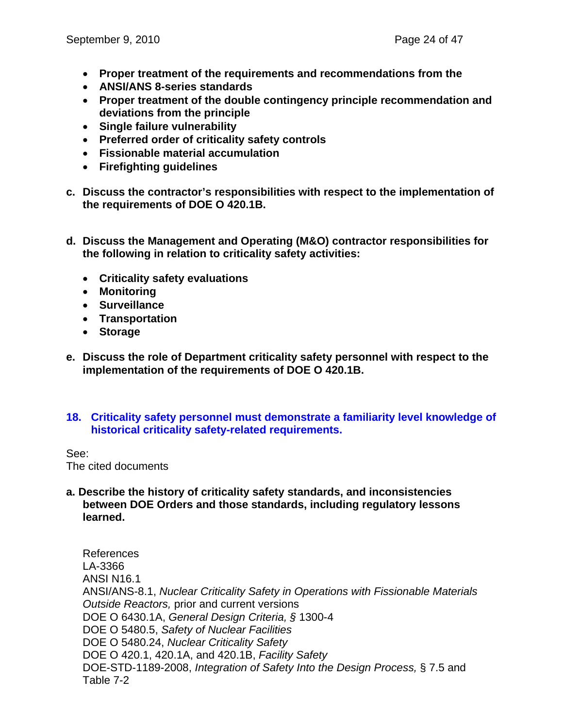- **Proper treatment of the requirements and recommendations from the**
- **ANSI/ANS 8-series standards**
- **Proper treatment of the double contingency principle recommendation and deviations from the principle**
- **Single failure vulnerability**
- **Preferred order of criticality safety controls**
- **Fissionable material accumulation**
- **Firefighting guidelines**
- **c. Discuss the contractor's responsibilities with respect to the implementation of the requirements of DOE O 420.1B.**
- **d. Discuss the Management and Operating (M&O) contractor responsibilities for the following in relation to criticality safety activities:** 
	- **Criticality safety evaluations**
	- **Monitoring**
	- **Surveillance**
	- **Transportation**
	- **Storage**
- **e. Discuss the role of Department criticality safety personnel with respect to the implementation of the requirements of DOE O 420.1B.**
- **18. Criticality safety personnel must demonstrate a familiarity level knowledge of historical criticality safety-related requirements.**

See:

The cited documents

**a. Describe the history of criticality safety standards, and inconsistencies between DOE Orders and those standards, including regulatory lessons learned.** 

References LA-3366 ANSI N16.1 ANSI/ANS-8.1, *Nuclear Criticality Safety in Operations with Fissionable Materials Outside Reactors,* prior and current versions DOE O 6430.1A, *General Design Criteria, §* 1300-4 DOE O 5480.5, *Safety of Nuclear Facilities*  DOE O 5480.24, *Nuclear Criticality Safety*  DOE O 420.1, 420.1A, and 420.1B, *Facility Safety*  DOE-STD-1189-2008, *Integration of Safety Into the Design Process,* § 7.5 and Table 7-2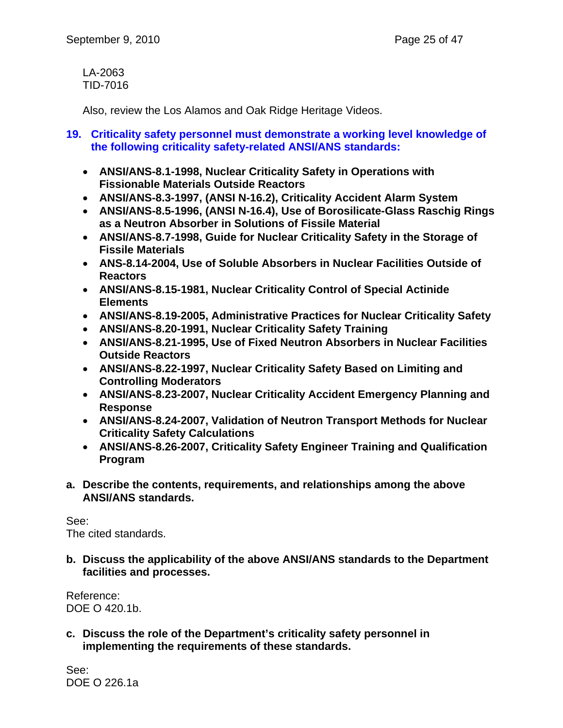LA-2063 TID-7016

Also, review the Los Alamos and Oak Ridge Heritage Videos.

## **19. Criticality safety personnel must demonstrate a working level knowledge of the following criticality safety-related ANSI/ANS standards:**

- **ANSI/ANS-8.1-1998, Nuclear Criticality Safety in Operations with Fissionable Materials Outside Reactors**
- **ANSI/ANS-8.3-1997, (ANSI N-16.2), Criticality Accident Alarm System**
- **ANSI/ANS-8.5-1996, (ANSI N-16.4), Use of Borosilicate-Glass Raschig Rings as a Neutron Absorber in Solutions of Fissile Material**
- **ANSI/ANS-8.7-1998, Guide for Nuclear Criticality Safety in the Storage of Fissile Materials**
- **ANS-8.14-2004, Use of Soluble Absorbers in Nuclear Facilities Outside of Reactors**
- **ANSI/ANS-8.15-1981, Nuclear Criticality Control of Special Actinide Elements**
- **ANSI/ANS-8.19-2005, Administrative Practices for Nuclear Criticality Safety**
- **ANSI/ANS-8.20-1991, Nuclear Criticality Safety Training**
- **ANSI/ANS-8.21-1995, Use of Fixed Neutron Absorbers in Nuclear Facilities Outside Reactors**
- **ANSI/ANS-8.22-1997, Nuclear Criticality Safety Based on Limiting and Controlling Moderators**
- **ANSI/ANS-8.23-2007, Nuclear Criticality Accident Emergency Planning and Response**
- **ANSI/ANS-8.24-2007, Validation of Neutron Transport Methods for Nuclear Criticality Safety Calculations**
- **ANSI/ANS-8.26-2007, Criticality Safety Engineer Training and Qualification Program**
- **a. Describe the contents, requirements, and relationships among the above ANSI/ANS standards.**

See: The cited standards.

**b. Discuss the applicability of the above ANSI/ANS standards to the Department facilities and processes.** 

Reference: DOE O 420.1b.

**c. Discuss the role of the Department's criticality safety personnel in implementing the requirements of these standards.** 

See: DOE O 226.1a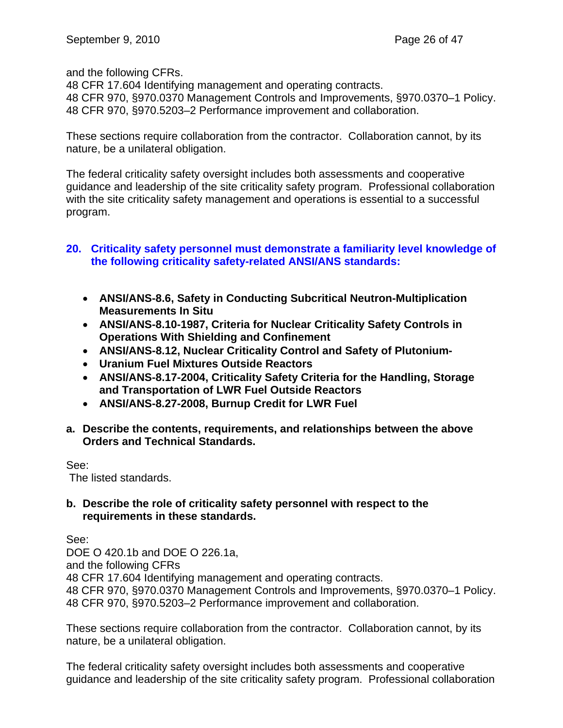and the following CFRs.

48 CFR 17.604 Identifying management and operating contracts. 48 CFR 970, §970.0370 Management Controls and Improvements, §970.0370–1 Policy. 48 CFR 970, §970.5203–2 Performance improvement and collaboration.

These sections require collaboration from the contractor. Collaboration cannot, by its nature, be a unilateral obligation.

The federal criticality safety oversight includes both assessments and cooperative guidance and leadership of the site criticality safety program. Professional collaboration with the site criticality safety management and operations is essential to a successful program.

## **20. Criticality safety personnel must demonstrate a familiarity level knowledge of the following criticality safety-related ANSI/ANS standards:**

- **ANSI/ANS-8.6, Safety in Conducting Subcritical Neutron-Multiplication Measurements In Situ**
- **ANSI/ANS-8.10-1987, Criteria for Nuclear Criticality Safety Controls in Operations With Shielding and Confinement**
- **ANSI/ANS-8.12, Nuclear Criticality Control and Safety of Plutonium-**
- **Uranium Fuel Mixtures Outside Reactors**
- **ANSI/ANS-8.17-2004, Criticality Safety Criteria for the Handling, Storage and Transportation of LWR Fuel Outside Reactors**
- **ANSI/ANS-8.27-2008, Burnup Credit for LWR Fuel**
- **a. Describe the contents, requirements, and relationships between the above Orders and Technical Standards.**

## See:

The listed standards.

#### **b. Describe the role of criticality safety personnel with respect to the requirements in these standards.**

See:

DOE O 420.1b and DOE O 226.1a, and the following CFRs 48 CFR 17.604 Identifying management and operating contracts. 48 CFR 970, §970.0370 Management Controls and Improvements, §970.0370–1 Policy. 48 CFR 970, §970.5203–2 Performance improvement and collaboration.

These sections require collaboration from the contractor. Collaboration cannot, by its nature, be a unilateral obligation.

The federal criticality safety oversight includes both assessments and cooperative guidance and leadership of the site criticality safety program. Professional collaboration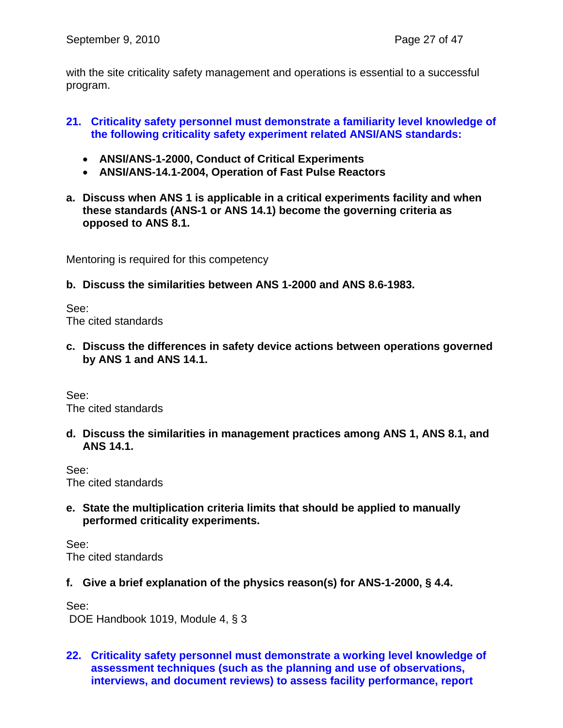with the site criticality safety management and operations is essential to a successful program.

## **21. Criticality safety personnel must demonstrate a familiarity level knowledge of the following criticality safety experiment related ANSI/ANS standards:**

- **ANSI/ANS-1-2000, Conduct of Critical Experiments**
- **ANSI/ANS-14.1-2004, Operation of Fast Pulse Reactors**
- **a. Discuss when ANS 1 is applicable in a critical experiments facility and when these standards (ANS-1 or ANS 14.1) become the governing criteria as opposed to ANS 8.1.**

Mentoring is required for this competency

**b. Discuss the similarities between ANS 1-2000 and ANS 8.6-1983.** 

See: The cited standards

**c. Discuss the differences in safety device actions between operations governed by ANS 1 and ANS 14.1.** 

See: The cited standards

**d. Discuss the similarities in management practices among ANS 1, ANS 8.1, and ANS 14.1.** 

See: The cited standards

**e. State the multiplication criteria limits that should be applied to manually performed criticality experiments.** 

See: The cited standards

**f. Give a brief explanation of the physics reason(s) for ANS-1-2000, § 4.4.** 

See: DOE Handbook 1019, Module 4, § 3

**22. Criticality safety personnel must demonstrate a working level knowledge of assessment techniques (such as the planning and use of observations, interviews, and document reviews) to assess facility performance, report**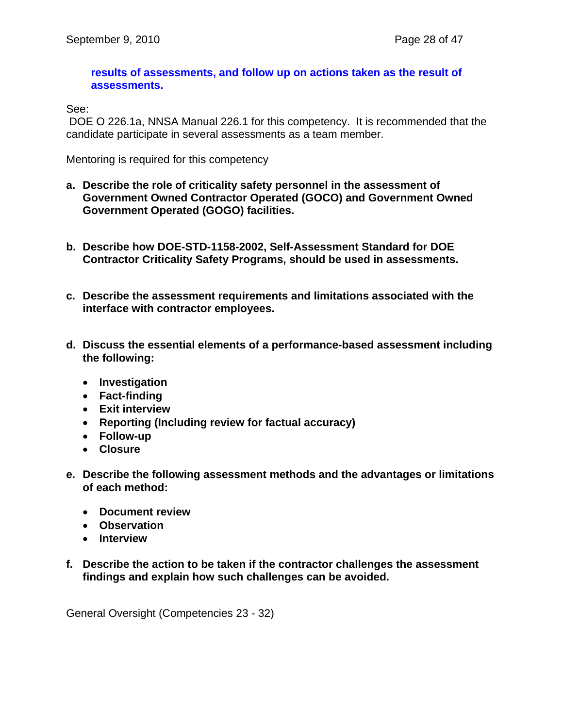#### **results of assessments, and follow up on actions taken as the result of assessments.**

See:

 DOE O 226.1a, NNSA Manual 226.1 for this competency. It is recommended that the candidate participate in several assessments as a team member.

Mentoring is required for this competency

- **a. Describe the role of criticality safety personnel in the assessment of Government Owned Contractor Operated (GOCO) and Government Owned Government Operated (GOGO) facilities.**
- **b. Describe how DOE-STD-1158-2002, Self-Assessment Standard for DOE Contractor Criticality Safety Programs, should be used in assessments.**
- **c. Describe the assessment requirements and limitations associated with the interface with contractor employees.**
- **d. Discuss the essential elements of a performance-based assessment including the following:** 
	- **Investigation**
	- **Fact-finding**
	- **Exit interview**
	- **Reporting (Including review for factual accuracy)**
	- **Follow-up**
	- **Closure**
- **e. Describe the following assessment methods and the advantages or limitations of each method:** 
	- **Document review**
	- **Observation**
	- **Interview**
- **f. Describe the action to be taken if the contractor challenges the assessment findings and explain how such challenges can be avoided.**

General Oversight (Competencies 23 - 32)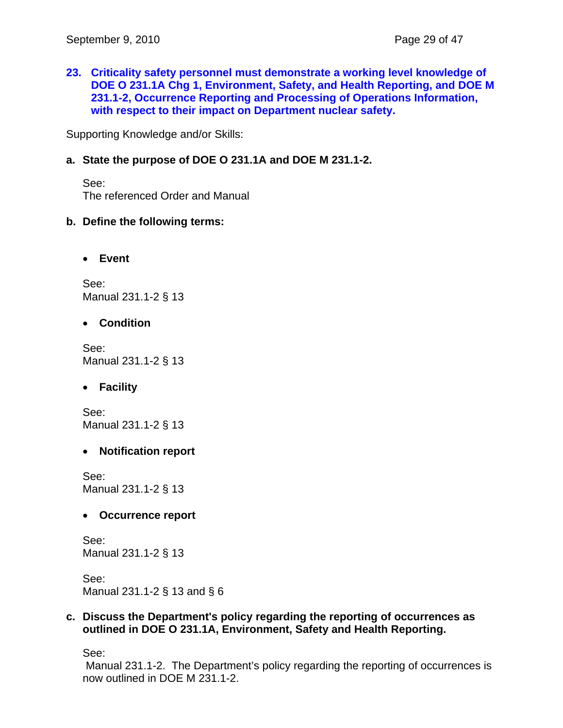**23. Criticality safety personnel must demonstrate a working level knowledge of DOE O 231.1A Chg 1, Environment, Safety, and Health Reporting, and DOE M 231.1-2, Occurrence Reporting and Processing of Operations Information, with respect to their impact on Department nuclear safety.** 

Supporting Knowledge and/or Skills:

## **a. State the purpose of DOE O 231.1A and DOE M 231.1-2.**

See: The referenced Order and Manual

#### **b. Define the following terms:**

• **Event** 

See: Manual 231.1-2 § 13

• **Condition** 

See: Manual 231.1-2 § 13

• **Facility** 

See: Manual 231.1-2 § 13

#### • **Notification report**

See: Manual 231.1-2 § 13

#### • **Occurrence report**

See: Manual 231.1-2 § 13

See: Manual 231.1-2 § 13 and § 6

#### **c. Discuss the Department's policy regarding the reporting of occurrences as outlined in DOE O 231.1A, Environment, Safety and Health Reporting.**

See:

 Manual 231.1-2. The Department's policy regarding the reporting of occurrences is now outlined in DOE M 231.1-2.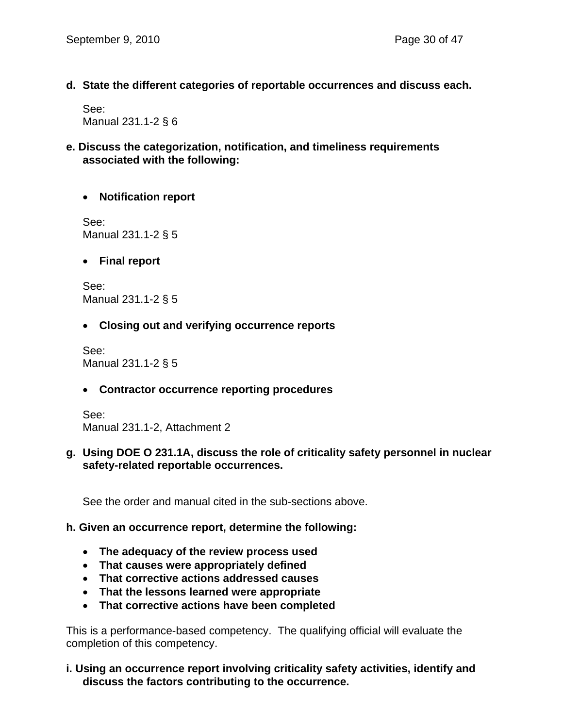**d. State the different categories of reportable occurrences and discuss each.** 

See: Manual 231.1-2 § 6

## **e. Discuss the categorization, notification, and timeliness requirements associated with the following:**

## • **Notification report**

See: Manual 231.1-2 § 5

• **Final report** 

See: Manual 231.1-2 § 5

## • **Closing out and verifying occurrence reports**

See: Manual 231.1-2 § 5

## • **Contractor occurrence reporting procedures**

See: Manual 231.1-2, Attachment 2

## **g. Using DOE O 231.1A, discuss the role of criticality safety personnel in nuclear safety-related reportable occurrences.**

See the order and manual cited in the sub-sections above.

## **h. Given an occurrence report, determine the following:**

- **The adequacy of the review process used**
- **That causes were appropriately defined**
- **That corrective actions addressed causes**
- **That the lessons learned were appropriate**
- **That corrective actions have been completed**

This is a performance-based competency. The qualifying official will evaluate the completion of this competency.

## **i. Using an occurrence report involving criticality safety activities, identify and discuss the factors contributing to the occurrence.**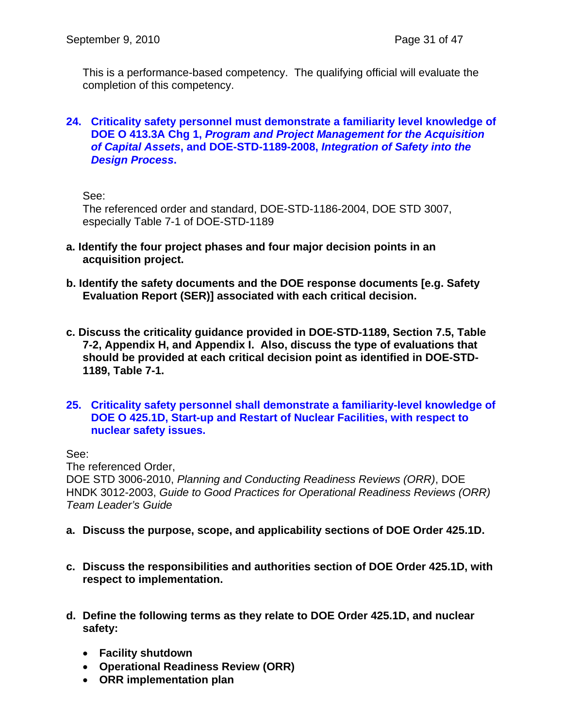This is a performance-based competency. The qualifying official will evaluate the completion of this competency.

#### **24. Criticality safety personnel must demonstrate a familiarity level knowledge of DOE O 413.3A Chg 1,** *Program and Project Management for the Acquisition of Capital Assets***, and DOE-STD-1189-2008,** *Integration of Safety into the Design Process***.**

See:

The referenced order and standard, DOE-STD-1186-2004, DOE STD 3007, especially Table 7-1 of DOE-STD-1189

- **a. Identify the four project phases and four major decision points in an acquisition project.**
- **b. Identify the safety documents and the DOE response documents [e.g. Safety Evaluation Report (SER)] associated with each critical decision.**
- **c. Discuss the criticality guidance provided in DOE-STD-1189, Section 7.5, Table 7-2, Appendix H, and Appendix I. Also, discuss the type of evaluations that should be provided at each critical decision point as identified in DOE-STD-1189, Table 7-1.**
- **25. Criticality safety personnel shall demonstrate a familiarity-level knowledge of DOE O 425.1D, Start-up and Restart of Nuclear Facilities, with respect to nuclear safety issues.**

See:

The referenced Order, DOE STD 3006-2010, *Planning and Conducting Readiness Reviews (ORR)*, DOE HNDK 3012-2003, *Guide to Good Practices for Operational Readiness Reviews (ORR) Team Leader's Guide*

- **a. Discuss the purpose, scope, and applicability sections of DOE Order 425.1D.**
- **c. Discuss the responsibilities and authorities section of DOE Order 425.1D, with respect to implementation.**
- **d. Define the following terms as they relate to DOE Order 425.1D, and nuclear safety:** 
	- **Facility shutdown**
	- **Operational Readiness Review (ORR)**
	- **ORR implementation plan**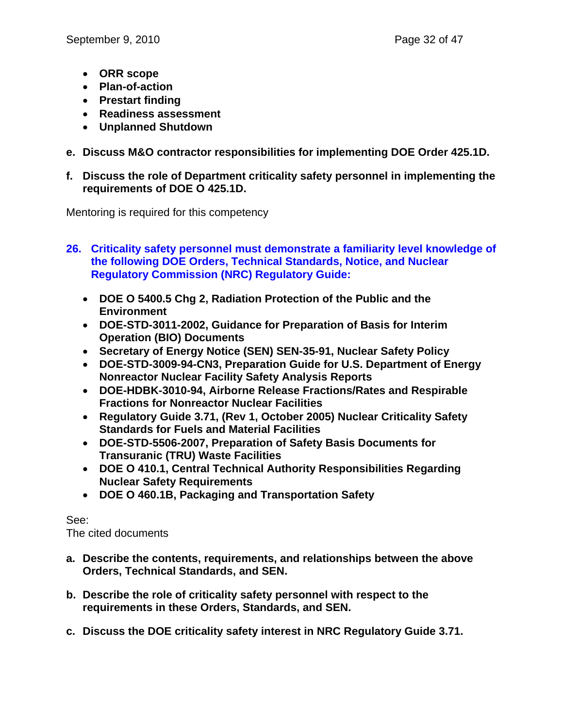- **ORR scope**
- **Plan-of-action**
- **Prestart finding**
- **Readiness assessment**
- **Unplanned Shutdown**
- **e. Discuss M&O contractor responsibilities for implementing DOE Order 425.1D.**
- **f. Discuss the role of Department criticality safety personnel in implementing the requirements of DOE O 425.1D.**

Mentoring is required for this competency

- **26. Criticality safety personnel must demonstrate a familiarity level knowledge of the following DOE Orders, Technical Standards, Notice, and Nuclear Regulatory Commission (NRC) Regulatory Guide:** 
	- **DOE O 5400.5 Chg 2, Radiation Protection of the Public and the Environment**
	- **DOE-STD-3011-2002, Guidance for Preparation of Basis for Interim Operation (BIO) Documents**
	- **Secretary of Energy Notice (SEN) SEN-35-91, Nuclear Safety Policy**
	- **DOE-STD-3009-94-CN3, Preparation Guide for U.S. Department of Energy Nonreactor Nuclear Facility Safety Analysis Reports**
	- **DOE-HDBK-3010-94, Airborne Release Fractions/Rates and Respirable Fractions for Nonreactor Nuclear Facilities**
	- **Regulatory Guide 3.71, (Rev 1, October 2005) Nuclear Criticality Safety Standards for Fuels and Material Facilities**
	- **DOE-STD-5506-2007, Preparation of Safety Basis Documents for Transuranic (TRU) Waste Facilities**
	- **DOE O 410.1, Central Technical Authority Responsibilities Regarding Nuclear Safety Requirements**
	- **DOE O 460.1B, Packaging and Transportation Safety**

See:

The cited documents

- **a. Describe the contents, requirements, and relationships between the above Orders, Technical Standards, and SEN.**
- **b. Describe the role of criticality safety personnel with respect to the requirements in these Orders, Standards, and SEN.**
- **c. Discuss the DOE criticality safety interest in NRC Regulatory Guide 3.71.**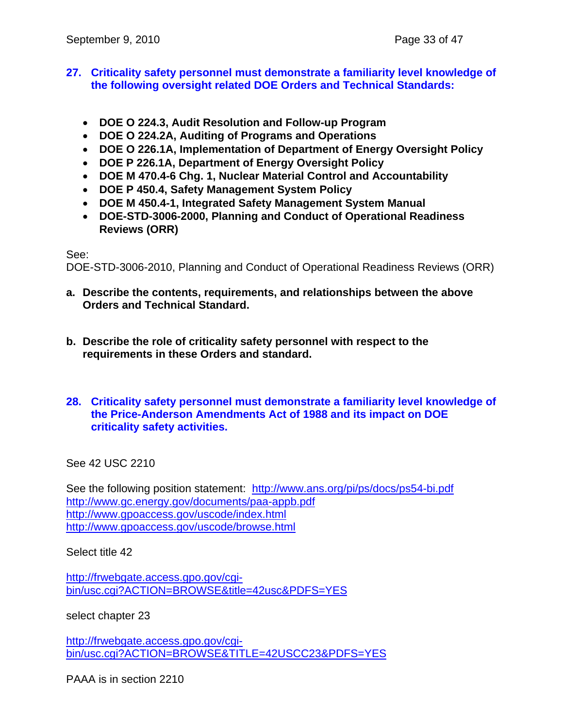#### **27. Criticality safety personnel must demonstrate a familiarity level knowledge of the following oversight related DOE Orders and Technical Standards:**

- **DOE O 224.3, Audit Resolution and Follow-up Program**
- **DOE O 224.2A, Auditing of Programs and Operations**
- **DOE O 226.1A, Implementation of Department of Energy Oversight Policy**
- **DOE P 226.1A, Department of Energy Oversight Policy**
- **DOE M 470.4-6 Chg. 1, Nuclear Material Control and Accountability**
- **DOE P 450.4, Safety Management System Policy**
- **DOE M 450.4-1, Integrated Safety Management System Manual**
- **DOE-STD-3006-2000, Planning and Conduct of Operational Readiness Reviews (ORR)**

See:

DOE-STD-3006-2010, Planning and Conduct of Operational Readiness Reviews (ORR)

- **a. Describe the contents, requirements, and relationships between the above Orders and Technical Standard.**
- **b. Describe the role of criticality safety personnel with respect to the requirements in these Orders and standard.**
- **28. Criticality safety personnel must demonstrate a familiarity level knowledge of the Price-Anderson Amendments Act of 1988 and its impact on DOE criticality safety activities.**

See 42 USC 2210

See the following position statement: http://www.ans.org/pi/ps/docs/ps54-bi.pdf http://www.gc.energy.gov/documents/paa-appb.pdf http://www.gpoaccess.gov/uscode/index.html http://www.gpoaccess.gov/uscode/browse.html

Select title 42

http://frwebgate.access.gpo.gov/cgibin/usc.cgi?ACTION=BROWSE&title=42usc&PDFS=YES

select chapter 23

http://frwebgate.access.gpo.gov/cgibin/usc.cgi?ACTION=BROWSE&TITLE=42USCC23&PDFS=YES

PAAA is in section 2210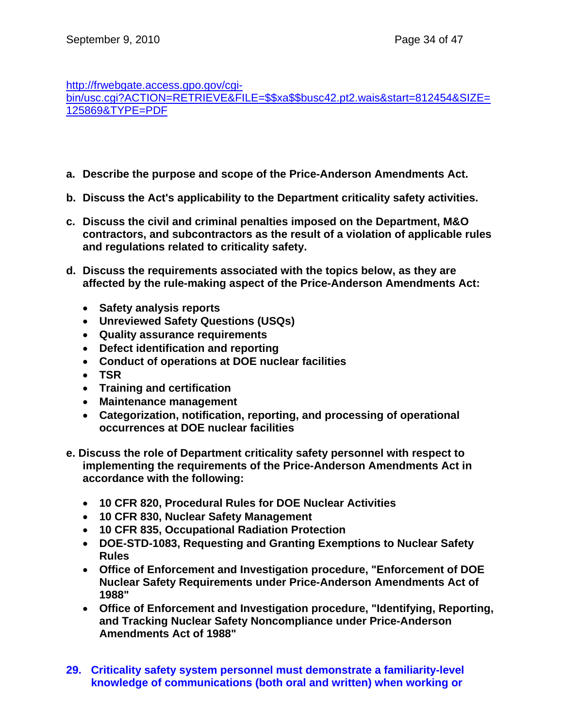http://frwebgate.access.gpo.gov/cgi-

bin/usc.cgi?ACTION=RETRIEVE&FILE=\$\$xa\$\$busc42.pt2.wais&start=812454&SIZE= 125869&TYPE=PDF

- **a. Describe the purpose and scope of the Price-Anderson Amendments Act.**
- **b. Discuss the Act's applicability to the Department criticality safety activities.**
- **c. Discuss the civil and criminal penalties imposed on the Department, M&O contractors, and subcontractors as the result of a violation of applicable rules and regulations related to criticality safety.**
- **d. Discuss the requirements associated with the topics below, as they are affected by the rule-making aspect of the Price-Anderson Amendments Act:** 
	- **Safety analysis reports**
	- **Unreviewed Safety Questions (USQs)**
	- **Quality assurance requirements**
	- **Defect identification and reporting**
	- **Conduct of operations at DOE nuclear facilities**
	- **TSR**
	- **Training and certification**
	- **Maintenance management**
	- **Categorization, notification, reporting, and processing of operational occurrences at DOE nuclear facilities**
- **e. Discuss the role of Department criticality safety personnel with respect to implementing the requirements of the Price-Anderson Amendments Act in accordance with the following:** 
	- **10 CFR 820, Procedural Rules for DOE Nuclear Activities**
	- **10 CFR 830, Nuclear Safety Management**
	- **10 CFR 835, Occupational Radiation Protection**
	- **DOE-STD-1083, Requesting and Granting Exemptions to Nuclear Safety Rules**
	- **Office of Enforcement and Investigation procedure, "Enforcement of DOE Nuclear Safety Requirements under Price-Anderson Amendments Act of 1988"**
	- **Office of Enforcement and Investigation procedure, "Identifying, Reporting, and Tracking Nuclear Safety Noncompliance under Price-Anderson Amendments Act of 1988"**
- **29. Criticality safety system personnel must demonstrate a familiarity-level knowledge of communications (both oral and written) when working or**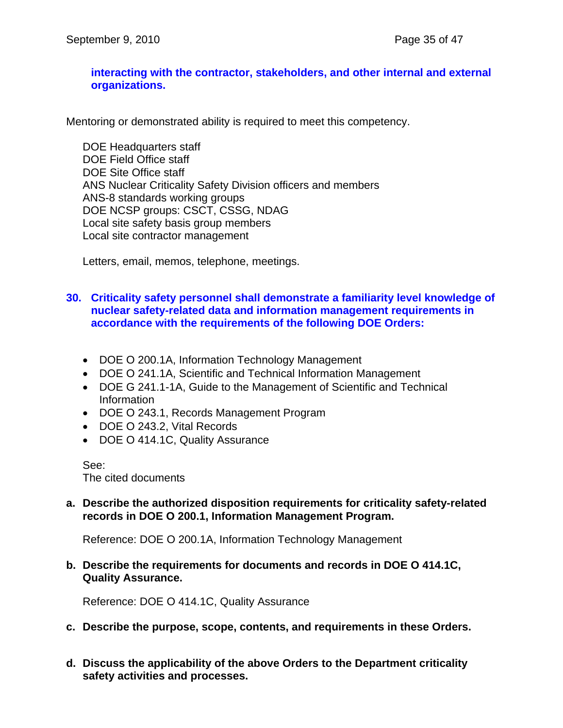#### **interacting with the contractor, stakeholders, and other internal and external organizations.**

Mentoring or demonstrated ability is required to meet this competency.

DOE Headquarters staff DOE Field Office staff DOE Site Office staff ANS Nuclear Criticality Safety Division officers and members ANS-8 standards working groups DOE NCSP groups: CSCT, CSSG, NDAG Local site safety basis group members Local site contractor management

Letters, email, memos, telephone, meetings.

## **30. Criticality safety personnel shall demonstrate a familiarity level knowledge of nuclear safety-related data and information management requirements in accordance with the requirements of the following DOE Orders:**

- DOE O 200.1A, Information Technology Management
- DOE O 241.1A, Scientific and Technical Information Management
- DOE G 241.1-1A, Guide to the Management of Scientific and Technical Information
- DOE O 243.1, Records Management Program
- DOE O 243.2, Vital Records
- DOE O 414.1C, Quality Assurance

See: The cited documents

**a. Describe the authorized disposition requirements for criticality safety-related records in DOE O 200.1, Information Management Program.** 

Reference: DOE O 200.1A, Information Technology Management

**b. Describe the requirements for documents and records in DOE O 414.1C, Quality Assurance.** 

Reference: DOE O 414.1C, Quality Assurance

- **c. Describe the purpose, scope, contents, and requirements in these Orders.**
- **d. Discuss the applicability of the above Orders to the Department criticality safety activities and processes.**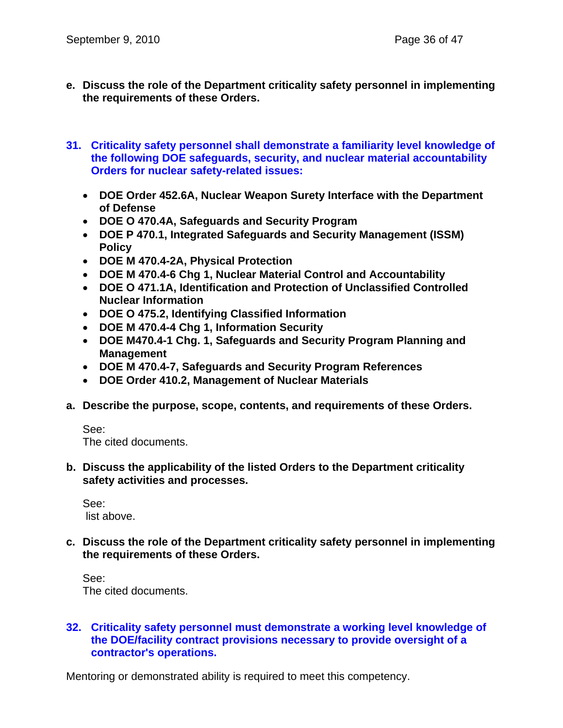- **e. Discuss the role of the Department criticality safety personnel in implementing the requirements of these Orders.**
- **31. Criticality safety personnel shall demonstrate a familiarity level knowledge of the following DOE safeguards, security, and nuclear material accountability Orders for nuclear safety-related issues:** 
	- **DOE Order 452.6A, Nuclear Weapon Surety Interface with the Department of Defense**
	- **DOE O 470.4A, Safeguards and Security Program**
	- **DOE P 470.1, Integrated Safeguards and Security Management (ISSM) Policy**
	- **DOE M 470.4-2A, Physical Protection**
	- **DOE M 470.4-6 Chg 1, Nuclear Material Control and Accountability**
	- **DOE O 471.1A, Identification and Protection of Unclassified Controlled Nuclear Information**
	- **DOE O 475.2, Identifying Classified Information**
	- **DOE M 470.4-4 Chg 1, Information Security**
	- **DOE M470.4-1 Chg. 1, Safeguards and Security Program Planning and Management**
	- **DOE M 470.4-7, Safeguards and Security Program References**
	- **DOE Order 410.2, Management of Nuclear Materials**
- **a. Describe the purpose, scope, contents, and requirements of these Orders.**

See:

The cited documents.

**b. Discuss the applicability of the listed Orders to the Department criticality safety activities and processes.** 

See: list above.

**c. Discuss the role of the Department criticality safety personnel in implementing the requirements of these Orders.** 

See: The cited documents.

## **32. Criticality safety personnel must demonstrate a working level knowledge of the DOE/facility contract provisions necessary to provide oversight of a contractor's operations.**

Mentoring or demonstrated ability is required to meet this competency.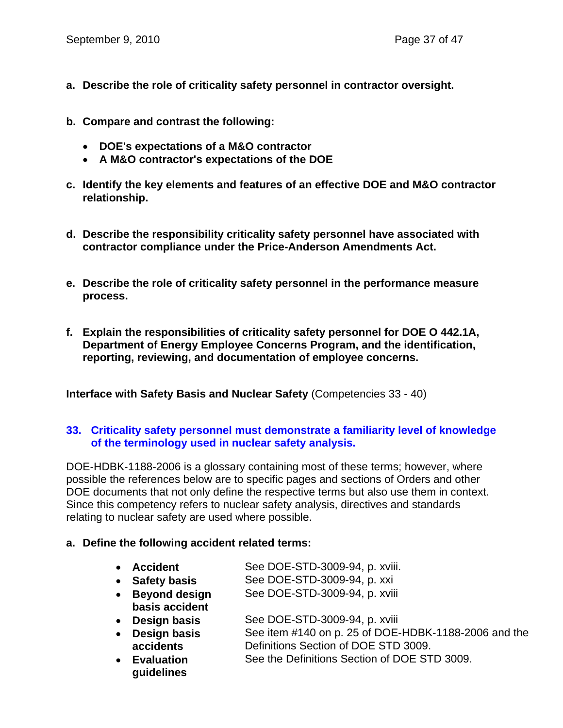- **a. Describe the role of criticality safety personnel in contractor oversight.**
- **b. Compare and contrast the following:** 
	- **DOE's expectations of a M&O contractor**
	- **A M&O contractor's expectations of the DOE**
- **c. Identify the key elements and features of an effective DOE and M&O contractor relationship.**
- **d. Describe the responsibility criticality safety personnel have associated with contractor compliance under the Price-Anderson Amendments Act.**
- **e. Describe the role of criticality safety personnel in the performance measure process.**
- **f. Explain the responsibilities of criticality safety personnel for DOE O 442.1A, Department of Energy Employee Concerns Program, and the identification, reporting, reviewing, and documentation of employee concerns.**

**Interface with Safety Basis and Nuclear Safety** (Competencies 33 - 40)

#### **33. Criticality safety personnel must demonstrate a familiarity level of knowledge of the terminology used in nuclear safety analysis.**

DOE-HDBK-1188-2006 is a glossary containing most of these terms; however, where possible the references below are to specific pages and sections of Orders and other DOE documents that not only define the respective terms but also use them in context. Since this competency refers to nuclear safety analysis, directives and standards relating to nuclear safety are used where possible.

#### **a. Define the following accident related terms:**

- **Accident** See DOE-STD-3009-94, p. xviii.
- **Safety basis** See DOE-STD-3009-94, p. xxi
- **Beyond design basis accident**  See DOE-STD-3009-94, p. xviii
- **Design basis** See DOE-STD-3009-94, p. xviii
- **Design basis accidents**  See item #140 on p. 25 of DOE-HDBK-1188-2006 and the Definitions Section of DOE STD 3009.
- **Evaluation guidelines**  See the Definitions Section of DOE STD 3009.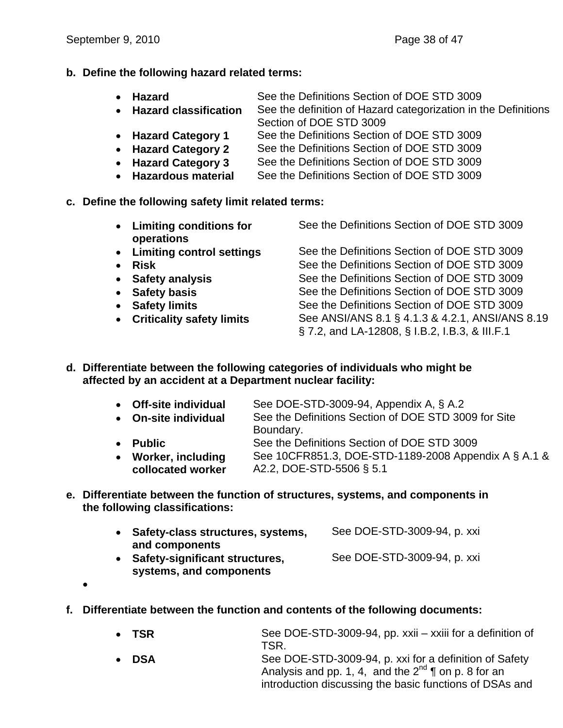**b. Define the following hazard related terms:** 

| $\bullet$ Hazard        | See the Definitions Section of DOE STD 3009                    |
|-------------------------|----------------------------------------------------------------|
| • Hazard classification | See the definition of Hazard categorization in the Definitions |

- Section of DOE STD 3009
- **Hazard Category 1** See the Definitions Section of DOE STD 3009
- **Hazard Category 2** See the Definitions Section of DOE STD 3009
- **Hazard Category 3** See the Definitions Section of DOE STD 3009
- **Hazardous material** See the Definitions Section of DOE STD 3009
- **c. Define the following safety limit related terms:** 
	- **Limiting conditions for operations**  See the Definitions Section of DOE STD 3009 • Limiting control settings See the Definitions Section of DOE STD 3009
	-
	-
	-
	-
	-
	-

• **Risk** See the Definitions Section of DOE STD 3009 • **Safety analysis** See the Definitions Section of DOE STD 3009 • **Safety basis See the Definitions Section of DOE STD 3009** • **Safety limits** See the Definitions Section of DOE STD 3009 • Criticality safety limits See ANSI/ANS 8.1 § 4.1.3 & 4.2.1, ANSI/ANS 8.19 § 7.2, and LA-12808, § I.B.2, I.B.3, & III.F.1

**d. Differentiate between the following categories of individuals who might be affected by an accident at a Department nuclear facility:** 

|           | • Off-site individual | See DOE-STD-3009-94, Appendix A, § A.2               |
|-----------|-----------------------|------------------------------------------------------|
|           | • On-site individual  | See the Definitions Section of DOE STD 3009 for Site |
|           |                       | Boundary.                                            |
| $\bullet$ | <b>Public</b>         | See the Definitions Section of DOE STD 3009          |
|           | • Worker, including   | See 10CFR851.3, DOE-STD-1189-2008 Appendix A § A.1 & |
|           | collocated worker     | A2.2, DOE-STD-5506 § 5.1                             |

**e. Differentiate between the function of structures, systems, and components in the following classifications:** 

| • Safety-class structures, systems, | See DOE-STD-3009-94, p. xxi |
|-------------------------------------|-----------------------------|
| and components                      |                             |
| • Safety-significant structures,    | See DOE-STD-3009-94, p. xxi |
| systems, and components             |                             |

- •
- **f. Differentiate between the function and contents of the following documents:** 
	- **TSR** See DOE-STD-3009-94, pp. xxii xxiii for a definition of TSR.
	- **DSA** See DOE-STD-3009-94, p. xxi for a definition of Safety Analysis and pp. 1, 4, and the  $2^{nd}$  | on p. 8 for an introduction discussing the basic functions of DSAs and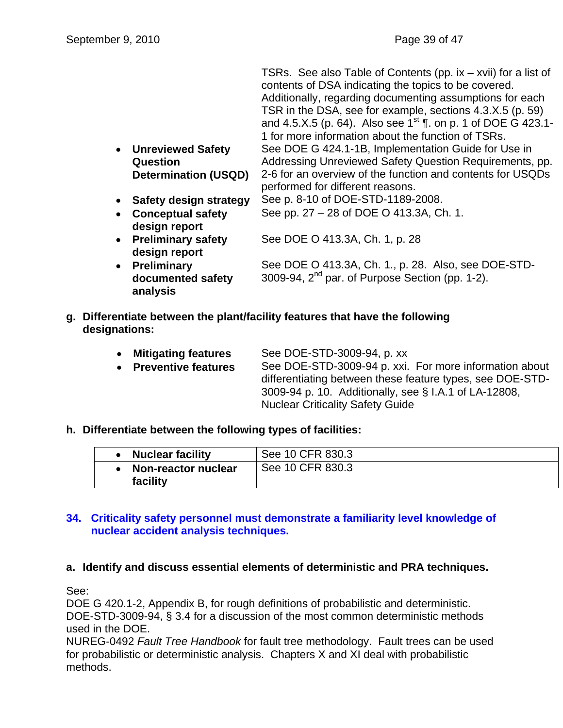|                                       | TSRs. See also Table of Contents (pp. $ix - xvii$ ) for a list of<br>contents of DSA indicating the topics to be covered.<br>Additionally, regarding documenting assumptions for each<br>TSR in the DSA, see for example, sections 4.3.X.5 (p. 59)<br>and 4.5.X.5 (p. 64). Also see 1 <sup>st</sup> ¶. on p. 1 of DOE G 423.1-<br>1 for more information about the function of TSRs. |
|---------------------------------------|--------------------------------------------------------------------------------------------------------------------------------------------------------------------------------------------------------------------------------------------------------------------------------------------------------------------------------------------------------------------------------------|
| <b>Unreviewed Safety</b><br>$\bullet$ | See DOE G 424.1-1B, Implementation Guide for Use in                                                                                                                                                                                                                                                                                                                                  |
| Question                              | Addressing Unreviewed Safety Question Requirements, pp.                                                                                                                                                                                                                                                                                                                              |
| <b>Determination (USQD)</b>           | 2-6 for an overview of the function and contents for USQDs                                                                                                                                                                                                                                                                                                                           |
|                                       | performed for different reasons.                                                                                                                                                                                                                                                                                                                                                     |
| <b>Safety design strategy</b>         | See p. 8-10 of DOE-STD-1189-2008.                                                                                                                                                                                                                                                                                                                                                    |
| <b>Conceptual safety</b><br>$\bullet$ | See pp. 27 – 28 of DOE O 413.3A, Ch. 1.                                                                                                                                                                                                                                                                                                                                              |
| design report                         |                                                                                                                                                                                                                                                                                                                                                                                      |
| • Preliminary safety                  | See DOE O 413.3A, Ch. 1, p. 28                                                                                                                                                                                                                                                                                                                                                       |
| design report                         |                                                                                                                                                                                                                                                                                                                                                                                      |
| <b>Preliminary</b><br>$\bullet$       | See DOE O 413.3A, Ch. 1., p. 28. Also, see DOE-STD-                                                                                                                                                                                                                                                                                                                                  |
| documented safety                     | 3009-94, $2^{nd}$ par. of Purpose Section (pp. 1-2).                                                                                                                                                                                                                                                                                                                                 |

**g. Differentiate between the plant/facility features that have the following designations:** 

| <b>Mitigating features</b> | See DOE-STD-3009-94, p. xx                             |  |
|----------------------------|--------------------------------------------------------|--|
| • Preventive features      | See DOE-STD-3009-94 p. xxi. For more information about |  |

differentiating between these feature types, see DOE-STD-3009-94 p. 10. Additionally, see § I.A.1 of LA-12808, Nuclear Criticality Safety Guide

#### **h. Differentiate between the following types of facilities:**

**analysis** 

| <b>Nuclear facility</b>         | See 10 CFR 830.3 |
|---------------------------------|------------------|
| Non-reactor nuclear<br>facility | See 10 CFR 830.3 |

## **34. Criticality safety personnel must demonstrate a familiarity level knowledge of nuclear accident analysis techniques.**

#### **a. Identify and discuss essential elements of deterministic and PRA techniques.**

See:

DOE G 420.1-2, Appendix B, for rough definitions of probabilistic and deterministic. DOE-STD-3009-94, § 3.4 for a discussion of the most common deterministic methods used in the DOE.

NUREG-0492 *Fault Tree Handbook* for fault tree methodology. Fault trees can be used for probabilistic or deterministic analysis. Chapters X and XI deal with probabilistic methods.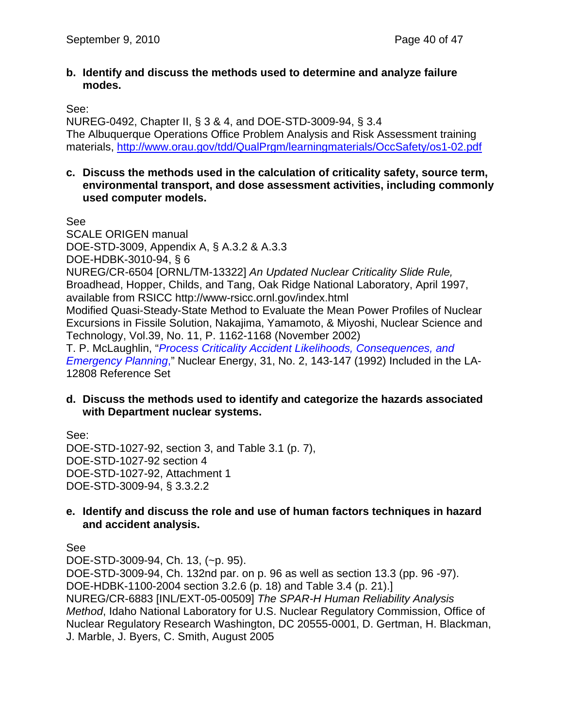#### **b. Identify and discuss the methods used to determine and analyze failure modes.**

See:

NUREG-0492, Chapter II, § 3 & 4, and DOE-STD-3009-94, § 3.4 The Albuquerque Operations Office Problem Analysis and Risk Assessment training materials, http://www.orau.gov/tdd/QualPrgm/learningmaterials/OccSafety/os1-02.pdf

#### **c. Discuss the methods used in the calculation of criticality safety, source term, environmental transport, and dose assessment activities, including commonly used computer models.**

See

SCALE ORIGEN manual DOE-STD-3009, Appendix A, § A.3.2 & A.3.3 DOE-HDBK-3010-94, § 6 NUREG/CR-6504 [ORNL/TM-13322] *An Updated Nuclear Criticality Slide Rule,*  Broadhead, Hopper, Childs, and Tang, Oak Ridge National Laboratory, April 1997, available from RSICC http://www-rsicc.ornl.gov/index.html Modified Quasi-Steady-State Method to Evaluate the Mean Power Profiles of Nuclear Excursions in Fissile Solution, Nakajima, Yamamoto, & Miyoshi, Nuclear Science and Technology, Vol.39, No. 11, P. 1162-1168 (November 2002) T. P. McLaughlin, "*Process Criticality Accident Likelihoods, Consequences, and Emergency Planning*," Nuclear Energy, 31, No. 2, 143-147 (1992) Included in the LA-12808 Reference Set

## **d. Discuss the methods used to identify and categorize the hazards associated with Department nuclear systems.**

See: DOE-STD-1027-92, section 3, and Table 3.1 (p. 7), DOE-STD-1027-92 section 4 DOE-STD-1027-92, Attachment 1 DOE-STD-3009-94, § 3.3.2.2

#### **e. Identify and discuss the role and use of human factors techniques in hazard and accident analysis.**

See

DOE-STD-3009-94, Ch. 13, (~p. 95). DOE-STD-3009-94, Ch. 132nd par. on p. 96 as well as section 13.3 (pp. 96 -97). DOE-HDBK-1100-2004 section 3.2.6 (p. 18) and Table 3.4 (p. 21).] NUREG/CR-6883 [INL/EXT-05-00509] *The SPAR-H Human Reliability Analysis Method*, Idaho National Laboratory for U.S. Nuclear Regulatory Commission, Office of Nuclear Regulatory Research Washington, DC 20555-0001, D. Gertman, H. Blackman, J. Marble, J. Byers, C. Smith, August 2005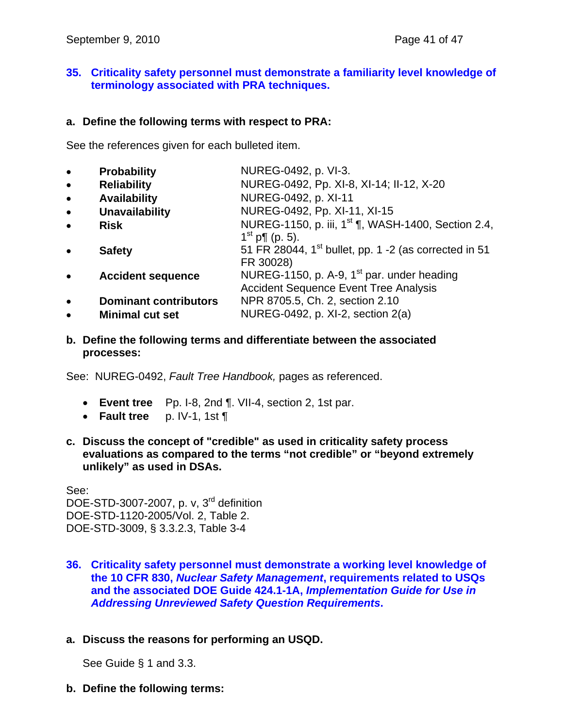## **35. Criticality safety personnel must demonstrate a familiarity level knowledge of terminology associated with PRA techniques.**

#### **a. Define the following terms with respect to PRA:**

See the references given for each bulleted item.

| $\bullet$ | <b>Probability</b>           | NUREG-0492, p. VI-3.                                              |
|-----------|------------------------------|-------------------------------------------------------------------|
| $\bullet$ | <b>Reliability</b>           | NUREG-0492, Pp. XI-8, XI-14; II-12, X-20                          |
| $\bullet$ | <b>Availability</b>          | NUREG-0492, p. XI-11                                              |
| $\bullet$ | <b>Unavailability</b>        | NUREG-0492, Pp. XI-11, XI-15                                      |
| $\bullet$ | <b>Risk</b>                  | NUREG-1150, p. iii, 1 <sup>st</sup> ¶, WASH-1400, Section 2.4,    |
|           |                              | $1^{st}$ p¶ (p. 5).                                               |
|           | <b>Safety</b>                | 51 FR 28044, 1 <sup>st</sup> bullet, pp. 1 -2 (as corrected in 51 |
|           |                              | FR 30028)                                                         |
|           | <b>Accident sequence</b>     | NUREG-1150, p. A-9, 1 <sup>st</sup> par. under heading            |
|           |                              | <b>Accident Sequence Event Tree Analysis</b>                      |
| $\bullet$ | <b>Dominant contributors</b> | NPR 8705.5, Ch. 2, section 2.10                                   |
| $\bullet$ | <b>Minimal cut set</b>       | NUREG-0492, p. XI-2, section 2(a)                                 |

**b. Define the following terms and differentiate between the associated processes:** 

See: NUREG-0492, *Fault Tree Handbook,* pages as referenced.

- **Event tree** Pp. I-8, 2nd ¶. VII-4, section 2, 1st par.
- **Fault tree** p. IV-1, 1st ¶
- **c. Discuss the concept of "credible" as used in criticality safety process evaluations as compared to the terms "not credible" or "beyond extremely unlikely" as used in DSAs.**

See: DOE-STD-3007-2007, p. v, 3<sup>rd</sup> definition DOE-STD-1120-2005/Vol. 2, Table 2. DOE-STD-3009, § 3.3.2.3, Table 3-4

- **36. Criticality safety personnel must demonstrate a working level knowledge of the 10 CFR 830,** *Nuclear Safety Management***, requirements related to USQs and the associated DOE Guide 424.1-1A,** *Implementation Guide for Use in Addressing Unreviewed Safety Question Requirements***.**
- **a. Discuss the reasons for performing an USQD.**

See Guide § 1 and 3.3.

**b. Define the following terms:**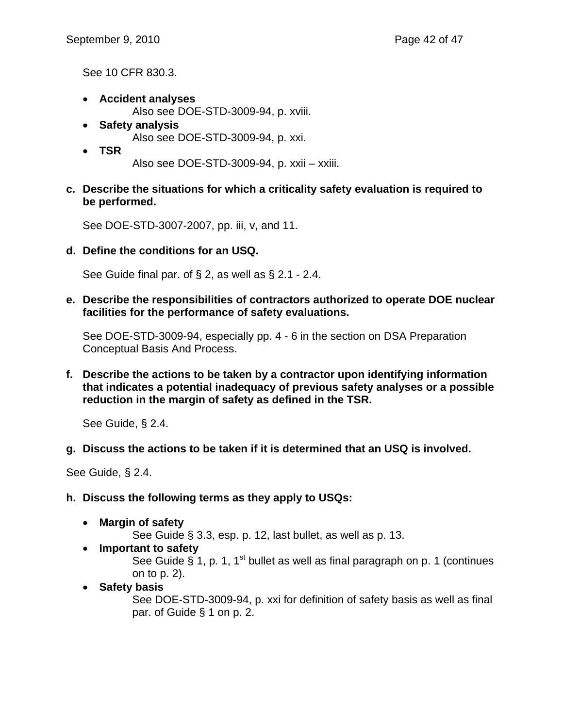See 10 CFR 830.3.

- **Accident analyses**  Also see DOE-STD-3009-94, p. xviii.
- **Safety analysis**  Also see DOE-STD-3009-94, p. xxi.
- **TSR** Also see DOE-STD-3009-94, p. xxii – xxiii.
- **c. Describe the situations for which a criticality safety evaluation is required to be performed.**

See DOE-STD-3007-2007, pp. iii, v, and 11.

**d. Define the conditions for an USQ.** 

See Guide final par. of § 2, as well as § 2.1 - 2.4.

**e. Describe the responsibilities of contractors authorized to operate DOE nuclear facilities for the performance of safety evaluations.** 

See DOE-STD-3009-94, especially pp. 4 - 6 in the section on DSA Preparation Conceptual Basis And Process.

**f. Describe the actions to be taken by a contractor upon identifying information that indicates a potential inadequacy of previous safety analyses or a possible reduction in the margin of safety as defined in the TSR.** 

See Guide, § 2.4.

## **g. Discuss the actions to be taken if it is determined that an USQ is involved.**

See Guide, § 2.4.

- **h. Discuss the following terms as they apply to USQs:** 
	- **Margin of safety** 
		- See Guide § 3.3, esp. p. 12, last bullet, as well as p. 13.
	- **Important to safety**

See Guide § 1, p. 1, 1<sup>st</sup> bullet as well as final paragraph on p. 1 (continues on to p. 2).

• **Safety basis**

See DOE-STD-3009-94, p. xxi for definition of safety basis as well as final par. of Guide § 1 on p. 2.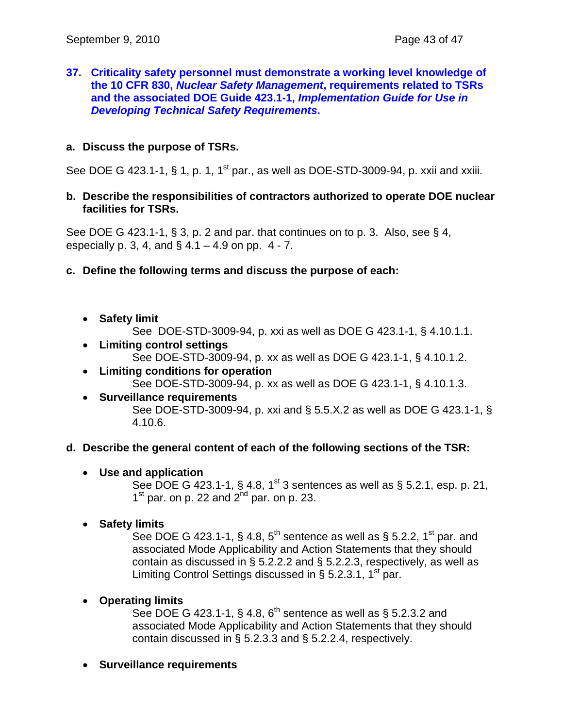#### **37. Criticality safety personnel must demonstrate a working level knowledge of the 10 CFR 830,** *Nuclear Safety Management***, requirements related to TSRs and the associated DOE Guide 423.1-1,** *Implementation Guide for Use in Developing Technical Safety Requirements***.**

## **a. Discuss the purpose of TSRs.**

See DOE G 423.1-1, § 1, p. 1,  $1^{st}$  par., as well as DOE-STD-3009-94, p. xxii and xxiii.

#### **b. Describe the responsibilities of contractors authorized to operate DOE nuclear facilities for TSRs.**

See DOE G 423.1-1, § 3, p. 2 and par. that continues on to p. 3. Also, see § 4, especially p. 3, 4, and  $\S$  4.1 – 4.9 on pp. 4 - 7.

#### **c. Define the following terms and discuss the purpose of each:**

- **Safety limit** 
	- See DOE-STD-3009-94, p. xxi as well as DOE G 423.1-1, § 4.10.1.1.
- **Limiting control settings**  See DOE-STD-3009-94, p. xx as well as DOE G 423.1-1, § 4.10.1.2.
- **Limiting conditions for operation**  See DOE-STD-3009-94, p. xx as well as DOE G 423.1-1, § 4.10.1.3.
- **Surveillance requirements**  See DOE-STD-3009-94, p. xxi and § 5.5.X.2 as well as DOE G 423.1-1, § 4.10.6.

#### **d. Describe the general content of each of the following sections of the TSR:**

• **Use and application** 

See DOE G 423.1-1, § 4.8, 1<sup>st</sup> 3 sentences as well as § 5.2.1, esp. p. 21,  $1<sup>st</sup>$  par. on p. 22 and  $2<sup>nd</sup>$  par. on p. 23.

• **Safety limits** 

See DOE G 423.1-1, § 4.8,  $5<sup>th</sup>$  sentence as well as § 5.2.2, 1<sup>st</sup> par. and associated Mode Applicability and Action Statements that they should contain as discussed in § 5.2.2.2 and § 5.2.2.3, respectively, as well as Limiting Control Settings discussed in § 5.2.3.1, 1<sup>st</sup> par.

## • **Operating limits**

See DOE G 423.1-1, § 4.8,  $6<sup>th</sup>$  sentence as well as § 5.2.3.2 and associated Mode Applicability and Action Statements that they should contain discussed in § 5.2.3.3 and § 5.2.2.4, respectively.

• **Surveillance requirements**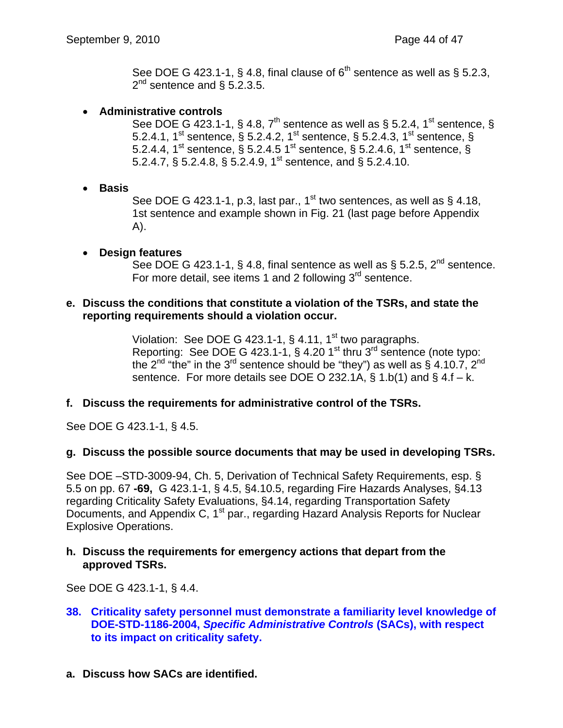See DOE G 423.1-1, § 4.8, final clause of  $6<sup>th</sup>$  sentence as well as § 5.2.3,  $2^{nd}$  sentence and § 5.2.3.5.

- **Administrative controls** 
	- See DOE G 423.1-1, § 4.8,  $7<sup>th</sup>$  sentence as well as § 5.2.4, 1<sup>st</sup> sentence, § 5.2.4.1, 1<sup>st</sup> sentence, § 5.2.4.2, 1<sup>st</sup> sentence, § 5.2.4.3, 1<sup>st</sup> sentence, § 5.2.4.4, 1<sup>st</sup> sentence, § 5.2.4.5 1<sup>st</sup> sentence, § 5.2.4.6, 1<sup>st</sup> sentence, § 5.2.4.7, § 5.2.4.8, § 5.2.4.9, 1st sentence, and § 5.2.4.10.
- **Basis**

See DOE G 423.1-1, p.3, last par., 1<sup>st</sup> two sentences, as well as § 4.18, 1st sentence and example shown in Fig. 21 (last page before Appendix A).

• **Design features**

See DOE G 423.1-1, § 4.8, final sentence as well as § 5.2.5,  $2^{nd}$  sentence. For more detail, see items 1 and 2 following 3<sup>rd</sup> sentence.

#### **e. Discuss the conditions that constitute a violation of the TSRs, and state the reporting requirements should a violation occur.**

Violation: See DOE G 423.1-1,  $\S$  4.11, 1<sup>st</sup> two paragraphs. Reporting: See DOE G  $423.1 - 1$ , §  $4.20 1<sup>st</sup>$  thru  $3<sup>rd</sup>$  sentence (note typo: the  $2^{nd}$  "the" in the  $3^{rd}$  sentence should be "they") as well as § 4.10.7,  $2^{nd}$ sentence. For more details see DOE O 232.1A, § 1.b(1) and § 4.f – k.

#### **f. Discuss the requirements for administrative control of the TSRs.**

See DOE G 423.1-1, § 4.5.

#### **g. Discuss the possible source documents that may be used in developing TSRs.**

See DOE –STD-3009-94, Ch. 5, Derivation of Technical Safety Requirements, esp. § 5.5 on pp. 67 **-69,** G 423.1-1, § 4.5, §4.10.5, regarding Fire Hazards Analyses, §4.13 regarding Criticality Safety Evaluations, §4.14, regarding Transportation Safety Documents, and Appendix C, 1<sup>st</sup> par., regarding Hazard Analysis Reports for Nuclear Explosive Operations.

#### **h. Discuss the requirements for emergency actions that depart from the approved TSRs.**

See DOE G 423.1-1, § 4.4.

- **38. Criticality safety personnel must demonstrate a familiarity level knowledge of DOE-STD-1186-2004,** *Specific Administrative Controls* **(SACs), with respect to its impact on criticality safety.**
- **a. Discuss how SACs are identified.**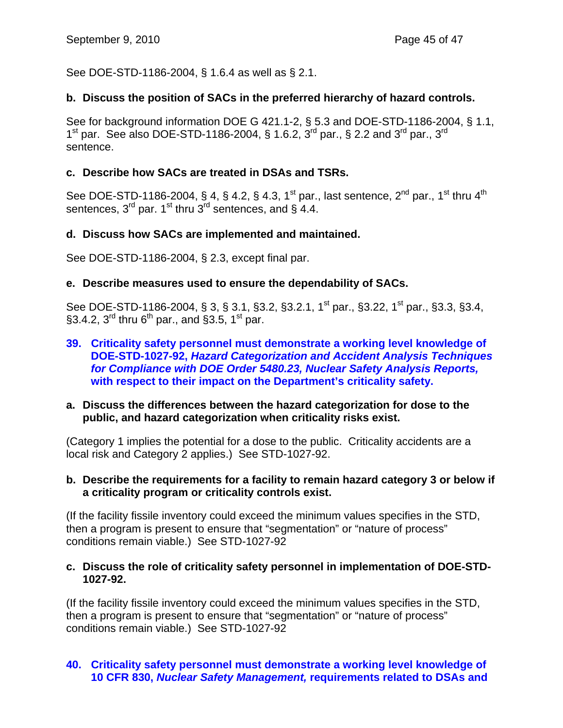See DOE-STD-1186-2004, § 1.6.4 as well as § 2.1.

## **b. Discuss the position of SACs in the preferred hierarchy of hazard controls.**

See for background information DOE G 421.1-2, § 5.3 and DOE-STD-1186-2004, § 1.1,  $1^{\text{st}}$  par. See also DOE-STD-1186-2004, § 1.6.2,  $3^{\text{rd}}$  par., § 2.2 and  $3^{\text{rd}}$  par.,  $3^{\text{rd}}$ sentence.

## **c. Describe how SACs are treated in DSAs and TSRs.**

See DOE-STD-1186-2004, § 4, § 4.2, § 4.3, 1<sup>st</sup> par., last sentence, 2<sup>nd</sup> par., 1<sup>st</sup> thru 4<sup>th</sup> sentences,  $3^{rd}$  par. 1<sup>st</sup> thru  $3^{rd}$  sentences, and § 4.4.

## **d. Discuss how SACs are implemented and maintained.**

See DOE-STD-1186-2004, § 2.3, except final par.

#### **e. Describe measures used to ensure the dependability of SACs.**

See DOE-STD-1186-2004, § 3, § 3.1, § 3.2, § 3.2.1, 1<sup>st</sup> par., § 3.22, 1<sup>st</sup> par., § 3.3, § 3.4, §3.4.2,  $3^{rd}$  thru 6<sup>th</sup> par., and §3.5, 1<sup>st</sup> par.

**39. Criticality safety personnel must demonstrate a working level knowledge of DOE-STD-1027-92,** *Hazard Categorization and Accident Analysis Techniques for Compliance with DOE Order 5480.23, Nuclear Safety Analysis Reports,*  **with respect to their impact on the Department's criticality safety.** 

#### **a. Discuss the differences between the hazard categorization for dose to the public, and hazard categorization when criticality risks exist.**

(Category 1 implies the potential for a dose to the public. Criticality accidents are a local risk and Category 2 applies.) See STD-1027-92.

#### **b. Describe the requirements for a facility to remain hazard category 3 or below if a criticality program or criticality controls exist.**

(If the facility fissile inventory could exceed the minimum values specifies in the STD, then a program is present to ensure that "segmentation" or "nature of process" conditions remain viable.) See STD-1027-92

#### **c. Discuss the role of criticality safety personnel in implementation of DOE-STD-1027-92.**

(If the facility fissile inventory could exceed the minimum values specifies in the STD, then a program is present to ensure that "segmentation" or "nature of process" conditions remain viable.) See STD-1027-92

## **40. Criticality safety personnel must demonstrate a working level knowledge of 10 CFR 830,** *Nuclear Safety Management,* **requirements related to DSAs and**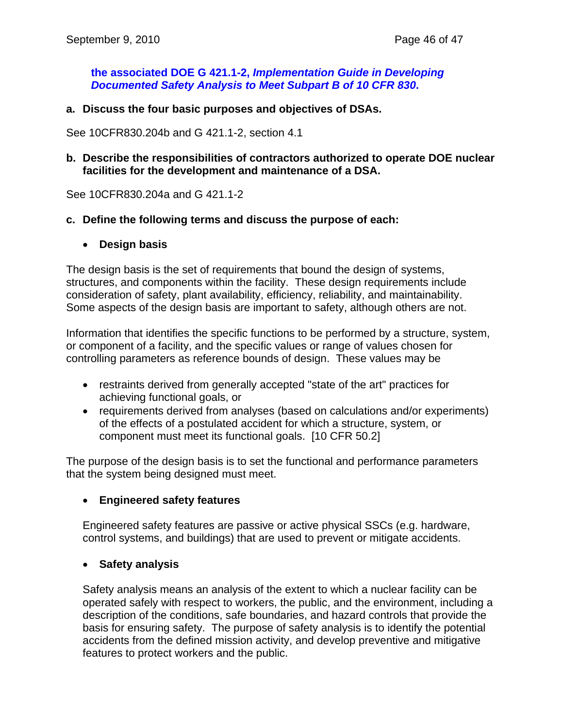**the associated DOE G 421.1-2,** *Implementation Guide in Developing Documented Safety Analysis to Meet Subpart B of 10 CFR 830***.** 

**a. Discuss the four basic purposes and objectives of DSAs.** 

See 10CFR830.204b and G 421.1-2, section 4.1

#### **b. Describe the responsibilities of contractors authorized to operate DOE nuclear facilities for the development and maintenance of a DSA.**

See 10CFR830.204a and G 421.1-2

#### **c. Define the following terms and discuss the purpose of each:**

• **Design basis** 

The design basis is the set of requirements that bound the design of systems, structures, and components within the facility. These design requirements include consideration of safety, plant availability, efficiency, reliability, and maintainability. Some aspects of the design basis are important to safety, although others are not.

Information that identifies the specific functions to be performed by a structure, system, or component of a facility, and the specific values or range of values chosen for controlling parameters as reference bounds of design. These values may be

- restraints derived from generally accepted "state of the art" practices for achieving functional goals, or
- requirements derived from analyses (based on calculations and/or experiments) of the effects of a postulated accident for which a structure, system, or component must meet its functional goals. [10 CFR 50.2]

The purpose of the design basis is to set the functional and performance parameters that the system being designed must meet.

#### • **Engineered safety features**

Engineered safety features are passive or active physical SSCs (e.g. hardware, control systems, and buildings) that are used to prevent or mitigate accidents.

#### • **Safety analysis**

Safety analysis means an analysis of the extent to which a nuclear facility can be operated safely with respect to workers, the public, and the environment, including a description of the conditions, safe boundaries, and hazard controls that provide the basis for ensuring safety. The purpose of safety analysis is to identify the potential accidents from the defined mission activity, and develop preventive and mitigative features to protect workers and the public.